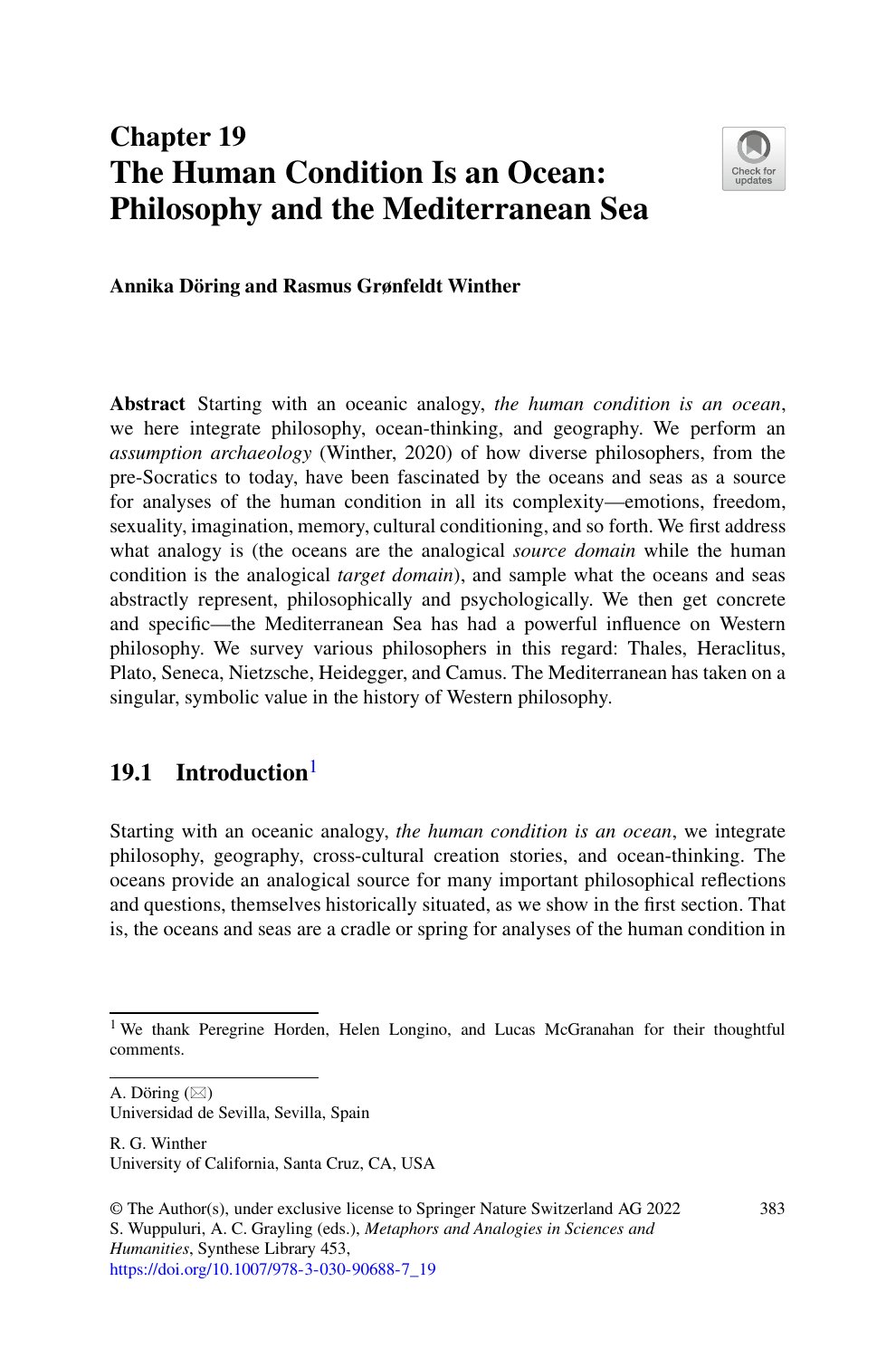# **Chapter 19 The Human Condition Is an Ocean: Philosophy and the Mediterranean Sea**



**Annika Döring and Rasmus Grønfeldt Winther**

**Abstract** Starting with an oceanic analogy, *the human condition is an ocean*, we here integrate philosophy, ocean-thinking, and geography. We perform an *assumption archaeology* (Winther, 2020) of how diverse philosophers, from the pre-Socratics to today, have been fascinated by the oceans and seas as a source for analyses of the human condition in all its complexity—emotions, freedom, sexuality, imagination, memory, cultural conditioning, and so forth. We first address what analogy is (the oceans are the analogical *source domain* while the human condition is the analogical *target domain*), and sample what the oceans and seas abstractly represent, philosophically and psychologically. We then get concrete and specific—the Mediterranean Sea has had a powerful influence on Western philosophy. We survey various philosophers in this regard: Thales, Heraclitus, Plato, Seneca, Nietzsche, Heidegger, and Camus. The Mediterranean has taken on a singular, symbolic value in the history of Western philosophy.

# **19.1 Introduction**[1](#page-2-0)

Starting with an oceanic analogy, *the human condition is an ocean*, we integrate philosophy, geography, cross-cultural creation stories, and ocean-thinking. The oceans provide an analogical source for many important philosophical reflections and questions, themselves historically situated, as we show in the first section. That is, the oceans and seas are a cradle or spring for analyses of the human condition in

A. Döring  $(\boxtimes)$ 

Universidad de Sevilla, Sevilla, Spain

R. G. Winther University of California, Santa Cruz, CA, USA

<sup>&</sup>lt;sup>1</sup> We thank Peregrine Horden, Helen Longino, and Lucas McGranahan for their thoughtful comments.

<sup>©</sup> The Author(s), under exclusive license to Springer Nature Switzerland AG 2022 S. Wuppuluri, A. C. Grayling (eds.), *Metaphors and Analogies in Sciences and Humanities*, Synthese Library 453, [https://doi.org/10.1007/978-3-030-90688-7\\_19](https://doi.org/10.1007/978-3-030-90688-7_19)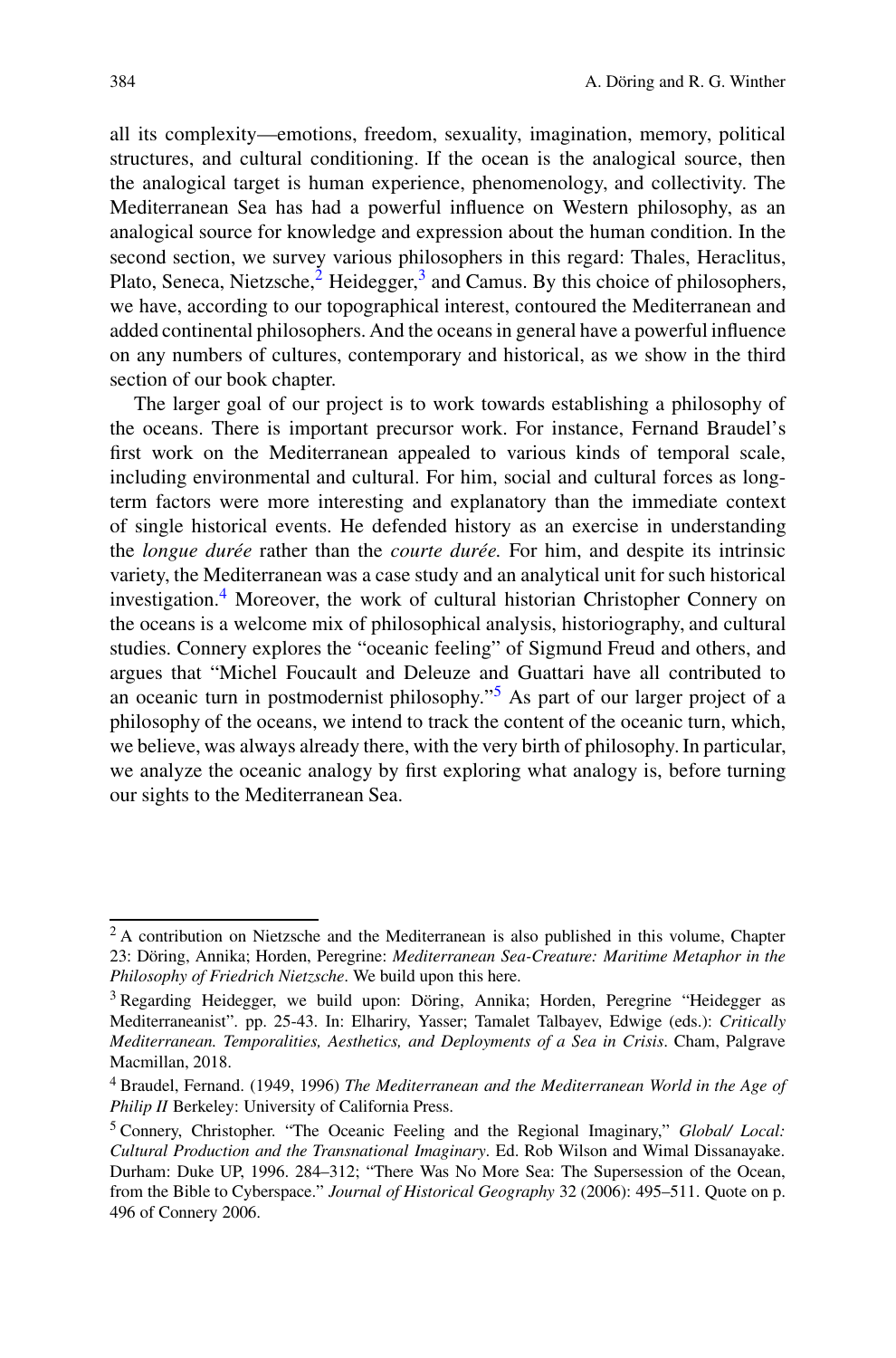all its complexity—emotions, freedom, sexuality, imagination, memory, political structures, and cultural conditioning. If the ocean is the analogical source, then the analogical target is human experience, phenomenology, and collectivity. The Mediterranean Sea has had a powerful influence on Western philosophy, as an analogical source for knowledge and expression about the human condition. In the second section, we survey various philosophers in this regard: Thales, Heraclitus, Plato, Seneca, Nietzsche, $<sup>2</sup>$  Heidegger, $<sup>3</sup>$  $<sup>3</sup>$  $<sup>3</sup>$  and Camus. By this choice of philosophers,</sup></sup> we have, according to our topographical interest, contoured the Mediterranean and added continental philosophers. And the oceans in general have a powerful influence on any numbers of cultures, contemporary and historical, as we show in the third section of our book chapter.

The larger goal of our project is to work towards establishing a philosophy of the oceans. There is important precursor work. For instance, Fernand Braudel's first work on the Mediterranean appealed to various kinds of temporal scale, including environmental and cultural. For him, social and cultural forces as longterm factors were more interesting and explanatory than the immediate context of single historical events. He defended history as an exercise in understanding the *longue durée* rather than the *courte durée.* For him, and despite its intrinsic variety, the Mediterranean was a case study and an analytical unit for such historical investigation.[4](#page-3-0) Moreover, the work of cultural historian Christopher Connery on the oceans is a welcome mix of philosophical analysis, historiography, and cultural studies. Connery explores the "oceanic feeling" of Sigmund Freud and others, and argues that "Michel Foucault and Deleuze and Guattari have all contributed to an oceanic turn in postmodernist philosophy."<sup>[5](#page-3-0)</sup> As part of our larger project of a philosophy of the oceans, we intend to track the content of the oceanic turn, which, we believe, was always already there, with the very birth of philosophy. In particular, we analyze the oceanic analogy by first exploring what analogy is, before turning our sights to the Mediterranean Sea.

<sup>&</sup>lt;sup>2</sup> A contribution on Nietzsche and the Mediterranean is also published in this volume, Chapter 23: Döring, Annika; Horden, Peregrine: *Mediterranean Sea-Creature: Maritime Metaphor in the Philosophy of Friedrich Nietzsche*. We build upon this here.

<sup>3</sup> Regarding Heidegger, we build upon: Döring, Annika; Horden, Peregrine "Heidegger as Mediterraneanist". pp. 25-43. In: Elhariry, Yasser; Tamalet Talbayev, Edwige (eds.): *Critically Mediterranean. Temporalities, Aesthetics, and Deployments of a Sea in Crisis*. Cham, Palgrave Macmillan, 2018.

<sup>4</sup> Braudel, Fernand. (1949, 1996) *The Mediterranean and the Mediterranean World in the Age of Philip II* Berkeley: University of California Press.

<sup>5</sup> Connery, Christopher. "The Oceanic Feeling and the Regional Imaginary," *Global/ Local: Cultural Production and the Transnational Imaginary*. Ed. Rob Wilson and Wimal Dissanayake. Durham: Duke UP, 1996. 284–312; "There Was No More Sea: The Supersession of the Ocean, from the Bible to Cyberspace." *Journal of Historical Geography* 32 (2006): 495–511. Quote on p. 496 of Connery 2006.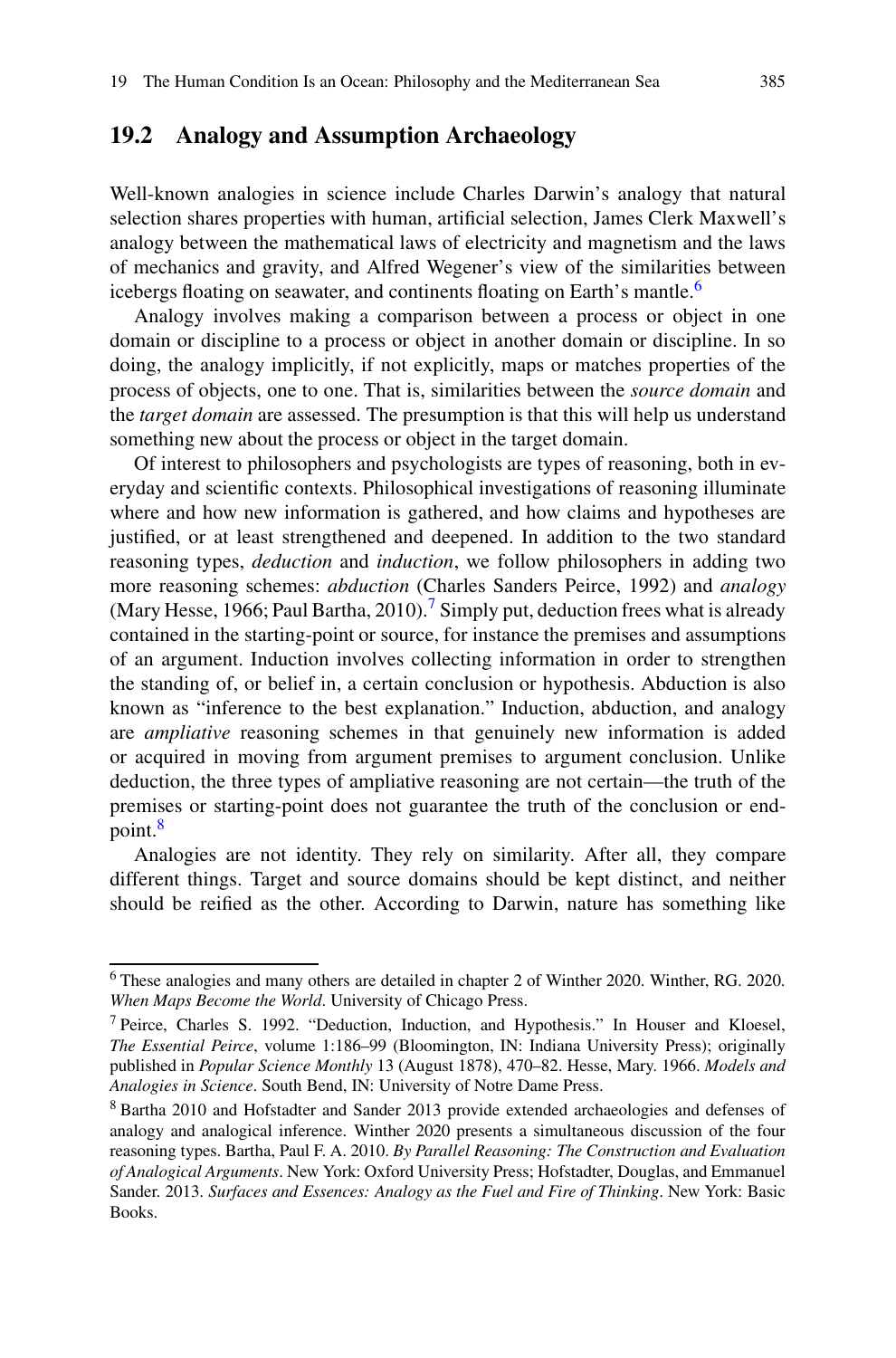## <span id="page-2-0"></span>**19.2 Analogy and Assumption Archaeology**

Well-known analogies in science include Charles Darwin's analogy that natural selection shares properties with human, artificial selection, James Clerk Maxwell's analogy between the mathematical laws of electricity and magnetism and the laws of mechanics and gravity, and Alfred Wegener's view of the similarities between icebergs floating on seawater, and continents floating on Earth's mantle.<sup>[6](#page-4-0)</sup>

Analogy involves making a comparison between a process or object in one domain or discipline to a process or object in another domain or discipline. In so doing, the analogy implicitly, if not explicitly, maps or matches properties of the process of objects, one to one. That is, similarities between the *source domain* and the *target domain* are assessed. The presumption is that this will help us understand something new about the process or object in the target domain.

Of interest to philosophers and psychologists are types of reasoning, both in everyday and scientific contexts. Philosophical investigations of reasoning illuminate where and how new information is gathered, and how claims and hypotheses are justified, or at least strengthened and deepened. In addition to the two standard reasoning types, *deduction* and *induction*, we follow philosophers in adding two more reasoning schemes: *abduction* (Charles Sanders Peirce, 1992) and *analogy* (Mary Hesse, 1966; Paul Bartha, 2010).<sup>[7](#page-4-0)</sup> Simply put, deduction frees what is already contained in the starting-point or source, for instance the premises and assumptions of an argument. Induction involves collecting information in order to strengthen the standing of, or belief in, a certain conclusion or hypothesis. Abduction is also known as "inference to the best explanation." Induction, abduction, and analogy are *ampliative* reasoning schemes in that genuinely new information is added or acquired in moving from argument premises to argument conclusion. Unlike deduction, the three types of ampliative reasoning are not certain—the truth of the premises or starting-point does not guarantee the truth of the conclusion or end-point.<sup>[8](#page-4-0)</sup>

Analogies are not identity. They rely on similarity. After all, they compare different things. Target and source domains should be kept distinct, and neither should be reified as the other. According to Darwin, nature has something like

<sup>6</sup> These analogies and many others are detailed in chapter 2 of Winther 2020. Winther, RG. 2020. *When Maps Become the World*. University of Chicago Press.

<sup>7</sup> Peirce, Charles S. 1992. "Deduction, Induction, and Hypothesis." In Houser and Kloesel, *The Essential Peirce*, volume 1:186–99 (Bloomington, IN: Indiana University Press); originally published in *Popular Science Monthly* 13 (August 1878), 470–82. Hesse, Mary. 1966. *Models and Analogies in Science*. South Bend, IN: University of Notre Dame Press.

<sup>8</sup> Bartha 2010 and Hofstadter and Sander 2013 provide extended archaeologies and defenses of analogy and analogical inference. Winther 2020 presents a simultaneous discussion of the four reasoning types. Bartha, Paul F. A. 2010. *By Parallel Reasoning: The Construction and Evaluation of Analogical Arguments*. New York: Oxford University Press; Hofstadter, Douglas, and Emmanuel Sander. 2013. *Surfaces and Essences: Analogy as the Fuel and Fire of Thinking*. New York: Basic Books.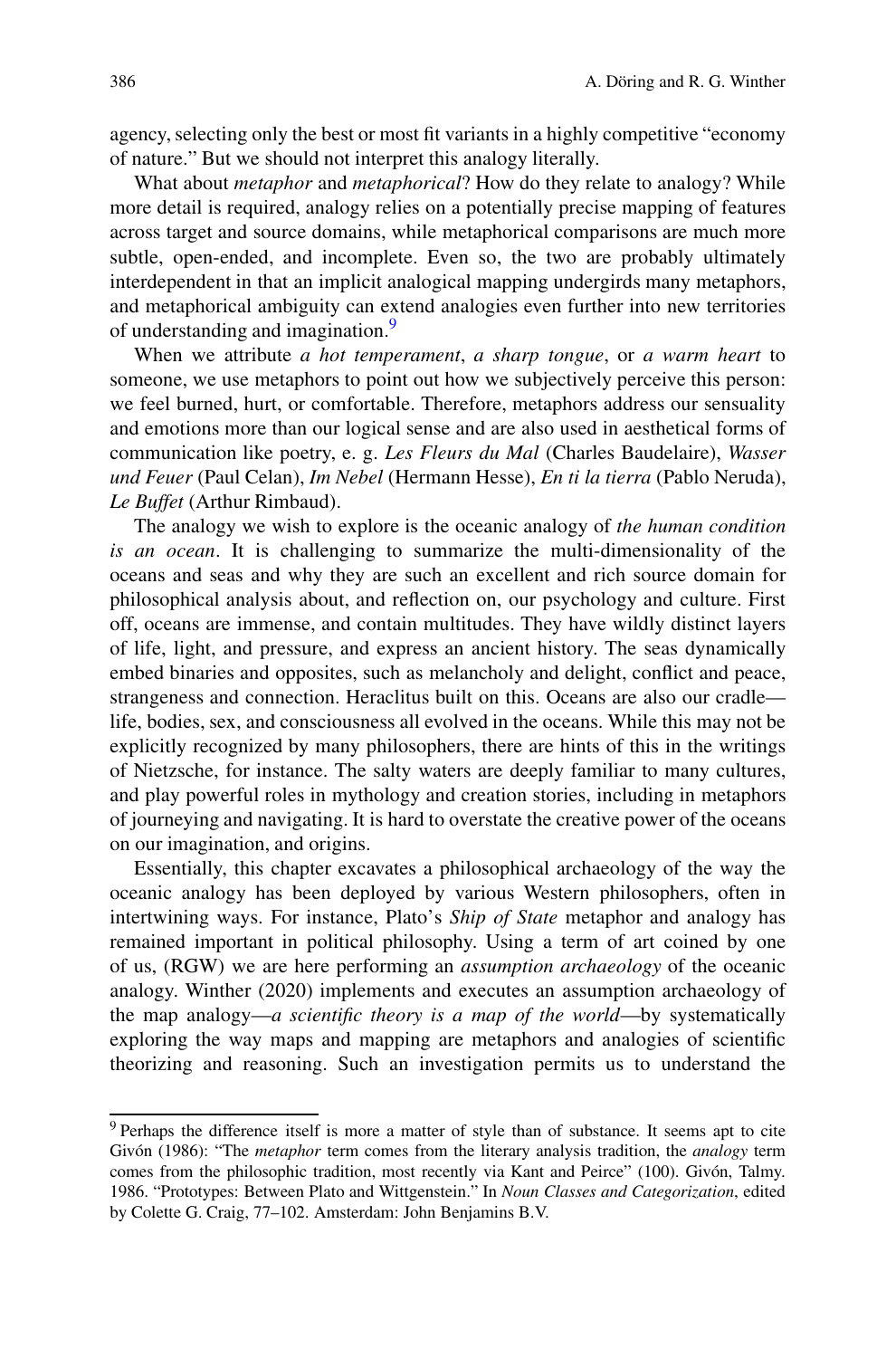<span id="page-3-0"></span>agency, selecting only the best or most fit variants in a highly competitive "economy of nature." But we should not interpret this analogy literally.

What about *metaphor* and *metaphorical*? How do they relate to analogy? While more detail is required, analogy relies on a potentially precise mapping of features across target and source domains, while metaphorical comparisons are much more subtle, open-ended, and incomplete. Even so, the two are probably ultimately interdependent in that an implicit analogical mapping undergirds many metaphors, and metaphorical ambiguity can extend analogies even further into new territories of understanding and imagination.<sup>9</sup>

When we attribute *a hot temperament*, *a sharp tongue*, or *a warm heart* to someone, we use metaphors to point out how we subjectively perceive this person: we feel burned, hurt, or comfortable. Therefore, metaphors address our sensuality and emotions more than our logical sense and are also used in aesthetical forms of communication like poetry, e. g. *Les Fleurs du Mal* (Charles Baudelaire), *Wasser und Feuer* (Paul Celan), *Im Nebel* (Hermann Hesse), *En ti la tierra* (Pablo Neruda), *Le Buffet* (Arthur Rimbaud).

The analogy we wish to explore is the oceanic analogy of *the human condition is an ocean*. It is challenging to summarize the multi-dimensionality of the oceans and seas and why they are such an excellent and rich source domain for philosophical analysis about, and reflection on, our psychology and culture. First off, oceans are immense, and contain multitudes. They have wildly distinct layers of life, light, and pressure, and express an ancient history. The seas dynamically embed binaries and opposites, such as melancholy and delight, conflict and peace, strangeness and connection. Heraclitus built on this. Oceans are also our cradle life, bodies, sex, and consciousness all evolved in the oceans. While this may not be explicitly recognized by many philosophers, there are hints of this in the writings of Nietzsche, for instance. The salty waters are deeply familiar to many cultures, and play powerful roles in mythology and creation stories, including in metaphors of journeying and navigating. It is hard to overstate the creative power of the oceans on our imagination, and origins.

Essentially, this chapter excavates a philosophical archaeology of the way the oceanic analogy has been deployed by various Western philosophers, often in intertwining ways. For instance, Plato's *Ship of State* metaphor and analogy has remained important in political philosophy. Using a term of art coined by one of us, (RGW) we are here performing an *assumption archaeology* of the oceanic analogy. Winther (2020) implements and executes an assumption archaeology of the map analogy—*a scientific theory is a map of the world*—by systematically exploring the way maps and mapping are metaphors and analogies of scientific theorizing and reasoning. Such an investigation permits us to understand the

<sup>&</sup>lt;sup>9</sup> Perhaps the difference itself is more a matter of style than of substance. It seems apt to cite Givón (1986): "The *metaphor* term comes from the literary analysis tradition, the *analogy* term comes from the philosophic tradition, most recently via Kant and Peirce" (100). Givón, Talmy. 1986. "Prototypes: Between Plato and Wittgenstein." In *Noun Classes and Categorization*, edited by Colette G. Craig, 77–102. Amsterdam: John Benjamins B.V.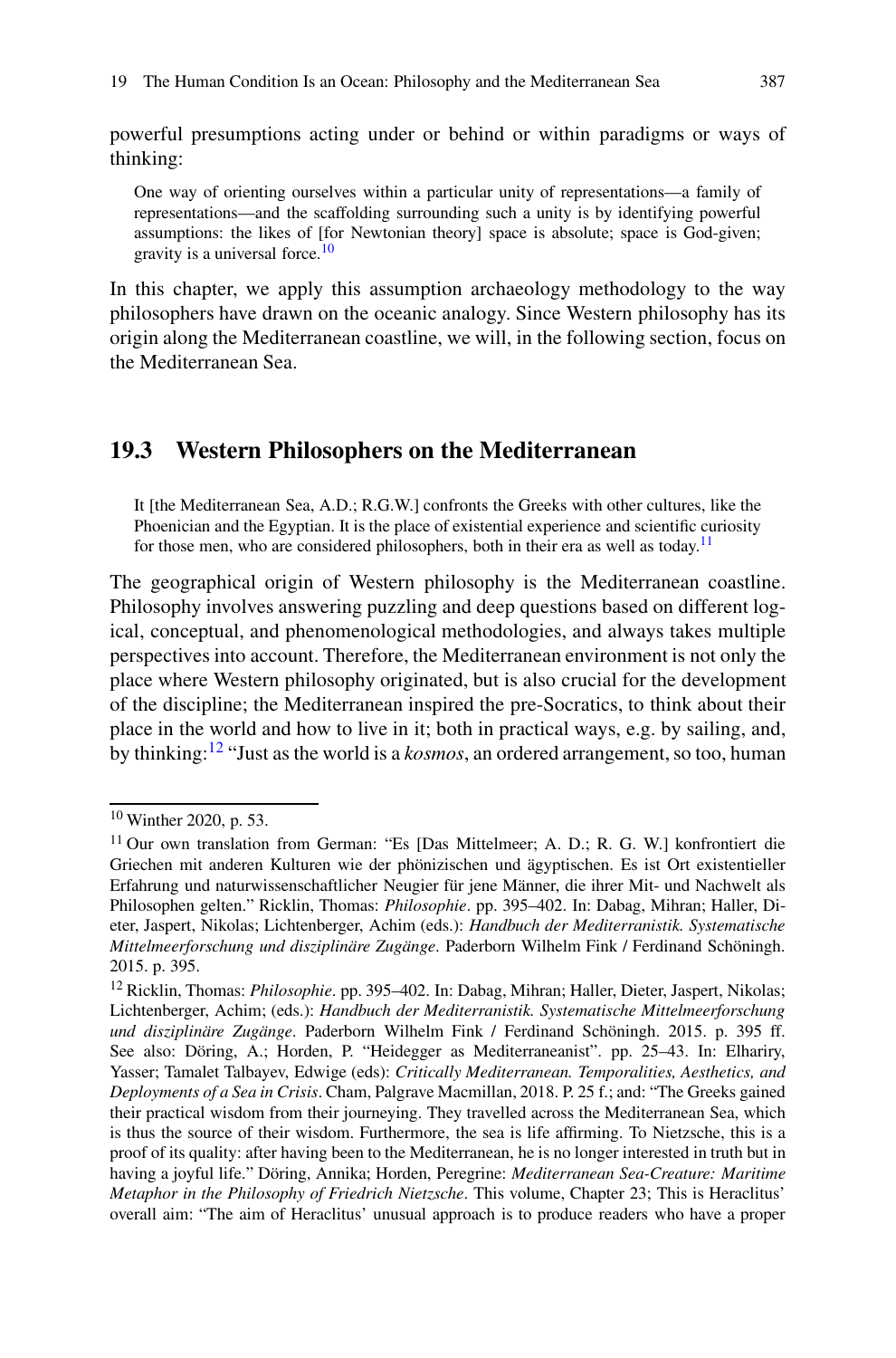<span id="page-4-0"></span>powerful presumptions acting under or behind or within paradigms or ways of thinking:

One way of orienting ourselves within a particular unity of representations—a family of representations—and the scaffolding surrounding such a unity is by identifying powerful assumptions: the likes of [for Newtonian theory] space is absolute; space is God-given; gravity is a universal force.<sup>[10](#page-6-0)</sup>

In this chapter, we apply this assumption archaeology methodology to the way philosophers have drawn on the oceanic analogy. Since Western philosophy has its origin along the Mediterranean coastline, we will, in the following section, focus on the Mediterranean Sea.

#### **19.3 Western Philosophers on the Mediterranean**

It [the Mediterranean Sea, A.D.; R.G.W.] confronts the Greeks with other cultures, like the Phoenician and the Egyptian. It is the place of existential experience and scientific curiosity for those men, who are considered philosophers, both in their era as well as today.<sup>[11](#page-6-0)</sup>

The geographical origin of Western philosophy is the Mediterranean coastline. Philosophy involves answering puzzling and deep questions based on different logical, conceptual, and phenomenological methodologies, and always takes multiple perspectives into account. Therefore, the Mediterranean environment is not only the place where Western philosophy originated, but is also crucial for the development of the discipline; the Mediterranean inspired the pre-Socratics, to think about their place in the world and how to live in it; both in practical ways, e.g. by sailing, and, by thinking[:12](#page-6-0) "Just as the world is a *kosmos*, an ordered arrangement, so too, human

<sup>10</sup> Winther 2020, p. 53.

<sup>11</sup> Our own translation from German: "Es [Das Mittelmeer; A. D.; R. G. W.] konfrontiert die Griechen mit anderen Kulturen wie der phönizischen und ägyptischen. Es ist Ort existentieller Erfahrung und naturwissenschaftlicher Neugier für jene Männer, die ihrer Mit- und Nachwelt als Philosophen gelten." Ricklin, Thomas: *Philosophie*. pp. 395–402. In: Dabag, Mihran; Haller, Dieter, Jaspert, Nikolas; Lichtenberger, Achim (eds.): *Handbuch der Mediterranistik. Systematische Mittelmeerforschung und disziplinäre Zugänge*. Paderborn Wilhelm Fink / Ferdinand Schöningh. 2015. p. 395.

<sup>12</sup> Ricklin, Thomas: *Philosophie*. pp. 395–402. In: Dabag, Mihran; Haller, Dieter, Jaspert, Nikolas; Lichtenberger, Achim; (eds.): *Handbuch der Mediterranistik. Systematische Mittelmeerforschung und disziplinäre Zugänge*. Paderborn Wilhelm Fink / Ferdinand Schöningh. 2015. p. 395 ff. See also: Döring, A.; Horden, P. "Heidegger as Mediterraneanist". pp. 25–43. In: Elhariry, Yasser; Tamalet Talbayev, Edwige (eds): *Critically Mediterranean. Temporalities, Aesthetics, and Deployments of a Sea in Crisis*. Cham, Palgrave Macmillan, 2018. P. 25 f.; and: "The Greeks gained their practical wisdom from their journeying. They travelled across the Mediterranean Sea, which is thus the source of their wisdom. Furthermore, the sea is life affirming. To Nietzsche, this is a proof of its quality: after having been to the Mediterranean, he is no longer interested in truth but in having a joyful life." Döring, Annika; Horden, Peregrine: *Mediterranean Sea-Creature: Maritime Metaphor in the Philosophy of Friedrich Nietzsche*. This volume, Chapter 23; This is Heraclitus' overall aim: "The aim of Heraclitus' unusual approach is to produce readers who have a proper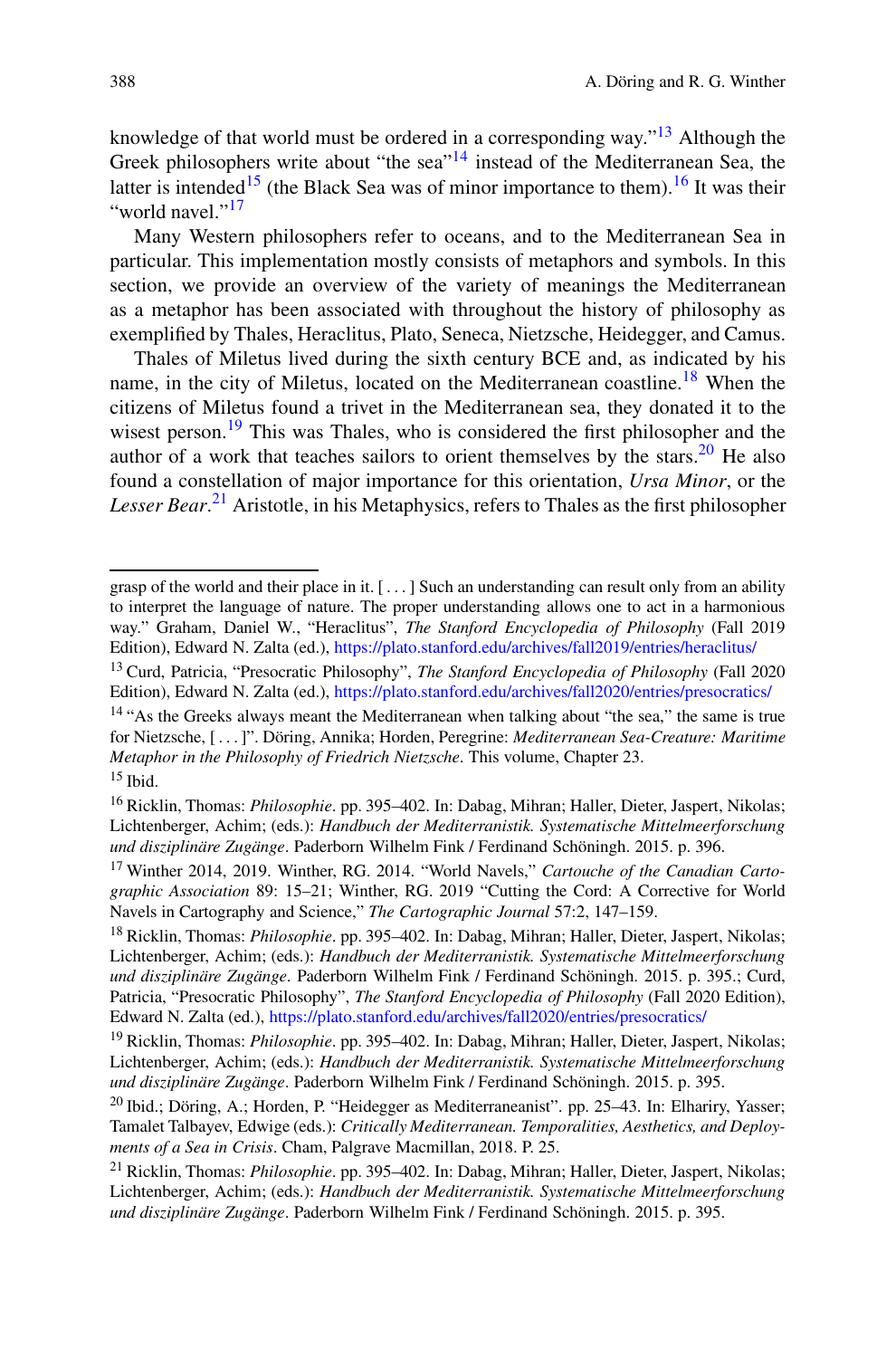<span id="page-5-0"></span>knowledge of that world must be ordered in a corresponding way.["13](#page-7-0) Although the Greek philosophers write about "the sea"<sup>[14](#page-7-0)</sup> instead of the Mediterranean Sea, the latter is intended<sup>[15](#page-7-0)</sup> (the Black Sea was of minor importance to them).<sup>[16](#page-7-0)</sup> It was their "world navel."<sup>[17](#page-7-0)</sup>

Many Western philosophers refer to oceans, and to the Mediterranean Sea in particular. This implementation mostly consists of metaphors and symbols. In this section, we provide an overview of the variety of meanings the Mediterranean as a metaphor has been associated with throughout the history of philosophy as exemplified by Thales, Heraclitus, Plato, Seneca, Nietzsche, Heidegger, and Camus.

Thales of Miletus lived during the sixth century BCE and, as indicated by his name, in the city of Miletus, located on the Mediterranean coastline.<sup>[18](#page-7-0)</sup> When the citizens of Miletus found a trivet in the Mediterranean sea, they donated it to the wisest person.<sup>[19](#page-7-0)</sup> This was Thales, who is considered the first philosopher and the author of a work that teaches sailors to orient themselves by the stars.<sup>20</sup> He also found a constellation of major importance for this orientation, *Ursa Minor*, or the *Lesser Bear*. [21](#page-7-0) Aristotle, in his Metaphysics, refers to Thales as the first philosopher

grasp of the world and their place in it. [... ] Such an understanding can result only from an ability to interpret the language of nature. The proper understanding allows one to act in a harmonious way." Graham, Daniel W., "Heraclitus", *The Stanford Encyclopedia of Philosophy* (Fall 2019 Edition), Edward N. Zalta (ed.), [https://plato.stanford.edu/archives/fall2019/entries/heraclitus/](https://plato.stanford.edu/archives/fall2019/entries/heraclitus/%3e)

<sup>13</sup> Curd, Patricia, "Presocratic Philosophy", *The Stanford Encyclopedia of Philosophy* (Fall 2020 Edition), Edward N. Zalta (ed.), [https://plato.stanford.edu/archives/fall2020/entries/presocratics/](https://plato.stanford.edu/archives/fall2020/entries/presocratics/%3e)

<sup>&</sup>lt;sup>14</sup> "As the Greeks always meant the Mediterranean when talking about "the sea," the same is true for Nietzsche, [...]". Döring, Annika; Horden, Peregrine: *Mediterranean Sea-Creature: Maritime Metaphor in the Philosophy of Friedrich Nietzsche*. This volume, Chapter 23.  $15$  Ibid.

<sup>16</sup> Ricklin, Thomas: *Philosophie*. pp. 395–402. In: Dabag, Mihran; Haller, Dieter, Jaspert, Nikolas; Lichtenberger, Achim; (eds.): *Handbuch der Mediterranistik. Systematische Mittelmeerforschung und disziplinäre Zugänge*. Paderborn Wilhelm Fink / Ferdinand Schöningh. 2015. p. 396.

<sup>17</sup> Winther 2014, 2019. Winther, RG. 2014. "World Navels," *Cartouche of the Canadian Cartographic Association* 89: 15–21; Winther, RG. 2019 "Cutting the Cord: A Corrective for World Navels in Cartography and Science," *The Cartographic Journal* 57:2, 147–159.

<sup>18</sup> Ricklin, Thomas: *Philosophie*. pp. 395–402. In: Dabag, Mihran; Haller, Dieter, Jaspert, Nikolas; Lichtenberger, Achim; (eds.): *Handbuch der Mediterranistik. Systematische Mittelmeerforschung und disziplinäre Zugänge*. Paderborn Wilhelm Fink / Ferdinand Schöningh. 2015. p. 395.; Curd, Patricia, "Presocratic Philosophy", *The Stanford Encyclopedia of Philosophy* (Fall 2020 Edition), Edward N. Zalta (ed.), [https://plato.stanford.edu/archives/fall2020/entries/presocratics/](https://plato.stanford.edu/archives/fall2020/entries/presocratics/%3e)

<sup>19</sup> Ricklin, Thomas: *Philosophie*. pp. 395–402. In: Dabag, Mihran; Haller, Dieter, Jaspert, Nikolas; Lichtenberger, Achim; (eds.): *Handbuch der Mediterranistik. Systematische Mittelmeerforschung und disziplinäre Zugänge*. Paderborn Wilhelm Fink / Ferdinand Schöningh. 2015. p. 395.

<sup>&</sup>lt;sup>20</sup> Ibid.; Döring, A.; Horden, P. "Heidegger as Mediterraneanist". pp. 25–43. In: Elhariry, Yasser; Tamalet Talbayev, Edwige (eds.): *Critically Mediterranean. Temporalities, Aesthetics, and Deployments of a Sea in Crisis*. Cham, Palgrave Macmillan, 2018. P. 25.

<sup>21</sup> Ricklin, Thomas: *Philosophie*. pp. 395–402. In: Dabag, Mihran; Haller, Dieter, Jaspert, Nikolas; Lichtenberger, Achim; (eds.): *Handbuch der Mediterranistik. Systematische Mittelmeerforschung und disziplinäre Zugänge*. Paderborn Wilhelm Fink / Ferdinand Schöningh. 2015. p. 395.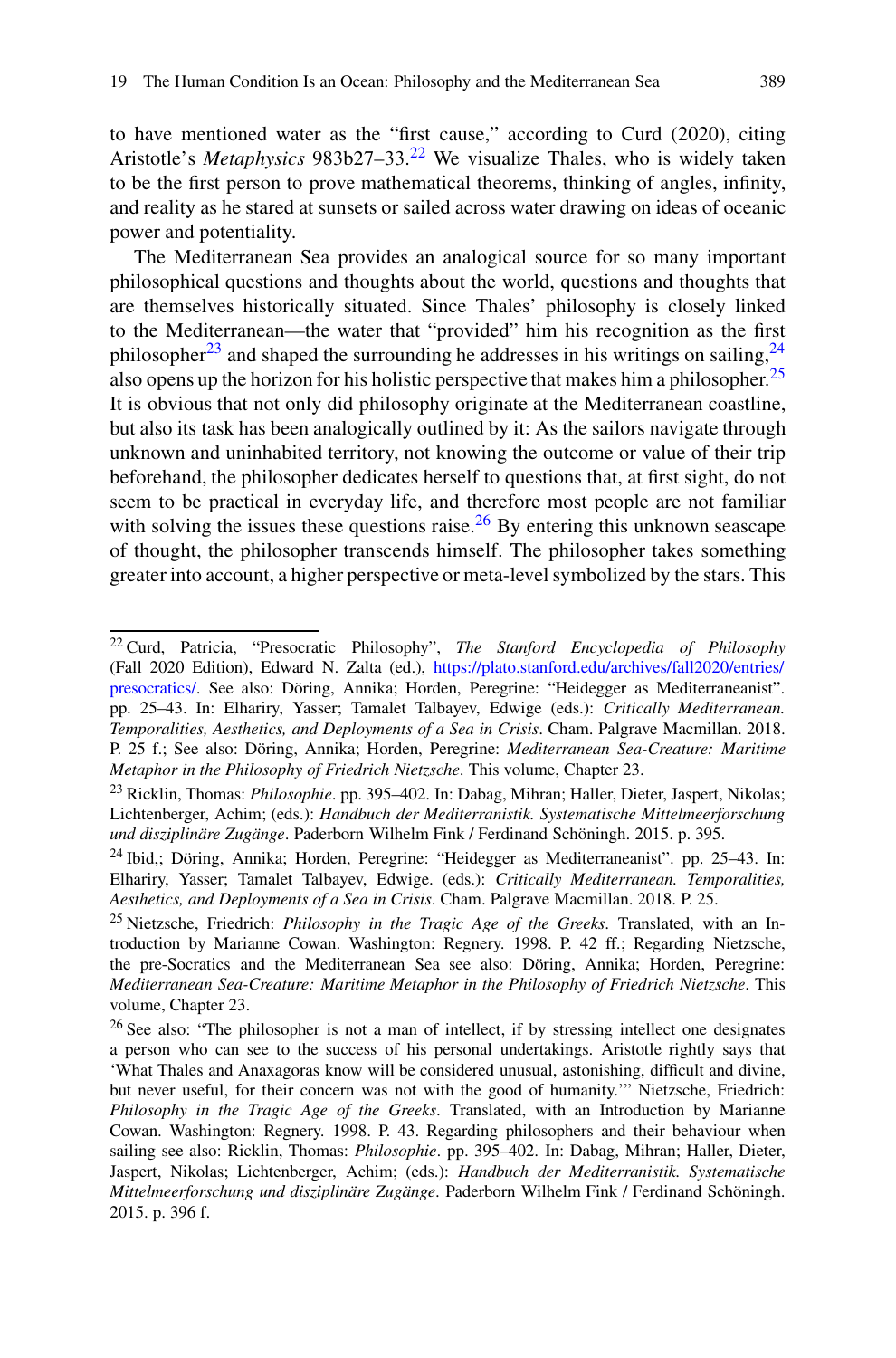<span id="page-6-0"></span>to have mentioned water as the "first cause," according to Curd (2020), citing Aristotle's *Metaphysics* 983b27–33.[22](#page-8-0) We visualize Thales, who is widely taken to be the first person to prove mathematical theorems, thinking of angles, infinity, and reality as he stared at sunsets or sailed across water drawing on ideas of oceanic power and potentiality.

The Mediterranean Sea provides an analogical source for so many important philosophical questions and thoughts about the world, questions and thoughts that are themselves historically situated. Since Thales' philosophy is closely linked to the Mediterranean—the water that "provided" him his recognition as the first philosopher<sup>[23](#page-8-0)</sup> and shaped the surrounding he addresses in his writings on sailing,  $24$ also opens up the horizon for his holistic perspective that makes him a philosopher.<sup>[25](#page-8-0)</sup> It is obvious that not only did philosophy originate at the Mediterranean coastline, but also its task has been analogically outlined by it: As the sailors navigate through unknown and uninhabited territory, not knowing the outcome or value of their trip beforehand, the philosopher dedicates herself to questions that, at first sight, do not seem to be practical in everyday life, and therefore most people are not familiar with solving the issues these questions raise.  $26$  By entering this unknown seascape of thought, the philosopher transcends himself. The philosopher takes something greater into account, a higher perspective or meta-level symbolized by the stars. This

<sup>22</sup> Curd, Patricia, "Presocratic Philosophy", *The Stanford Encyclopedia of Philosophy* (Fall 2020 Edition), Edward N. Zalta (ed.), https://plato.stanford.edu/archives/fall2020/entries/ [presocratics/. See also: Döring, Annika; Horden, Peregrine: "Heidegger as Mediterraneanist".](https://plato.stanford.edu/archives/fall2020/entries/presocratics/%3e) pp. 25–43. In: Elhariry, Yasser; Tamalet Talbayev, Edwige (eds.): *Critically Mediterranean. Temporalities, Aesthetics, and Deployments of a Sea in Crisis*. Cham. Palgrave Macmillan. 2018. P. 25 f.; See also: Döring, Annika; Horden, Peregrine: *Mediterranean Sea-Creature: Maritime Metaphor in the Philosophy of Friedrich Nietzsche*. This volume, Chapter 23.

<sup>23</sup> Ricklin, Thomas: *Philosophie*. pp. 395–402. In: Dabag, Mihran; Haller, Dieter, Jaspert, Nikolas; Lichtenberger, Achim; (eds.): *Handbuch der Mediterranistik. Systematische Mittelmeerforschung und disziplinäre Zugänge*. Paderborn Wilhelm Fink / Ferdinand Schöningh. 2015. p. 395.

<sup>&</sup>lt;sup>24</sup> Ibid,; Döring, Annika; Horden, Peregrine: "Heidegger as Mediterraneanist". pp. 25–43. In: Elhariry, Yasser; Tamalet Talbayev, Edwige. (eds.): *Critically Mediterranean. Temporalities, Aesthetics, and Deployments of a Sea in Crisis*. Cham. Palgrave Macmillan. 2018. P. 25.

<sup>25</sup> Nietzsche, Friedrich: *Philosophy in the Tragic Age of the Greeks*. Translated, with an Introduction by Marianne Cowan. Washington: Regnery. 1998. P. 42 ff.; Regarding Nietzsche, the pre-Socratics and the Mediterranean Sea see also: Döring, Annika; Horden, Peregrine: *Mediterranean Sea-Creature: Maritime Metaphor in the Philosophy of Friedrich Nietzsche*. This volume, Chapter 23.

<sup>&</sup>lt;sup>26</sup> See also: "The philosopher is not a man of intellect, if by stressing intellect one designates a person who can see to the success of his personal undertakings. Aristotle rightly says that 'What Thales and Anaxagoras know will be considered unusual, astonishing, difficult and divine, but never useful, for their concern was not with the good of humanity.'" Nietzsche, Friedrich: *Philosophy in the Tragic Age of the Greeks*. Translated, with an Introduction by Marianne Cowan. Washington: Regnery. 1998. P. 43. Regarding philosophers and their behaviour when sailing see also: Ricklin, Thomas: *Philosophie*. pp. 395–402. In: Dabag, Mihran; Haller, Dieter, Jaspert, Nikolas; Lichtenberger, Achim; (eds.): *Handbuch der Mediterranistik. Systematische Mittelmeerforschung und disziplinäre Zugänge*. Paderborn Wilhelm Fink / Ferdinand Schöningh. 2015. p. 396 f.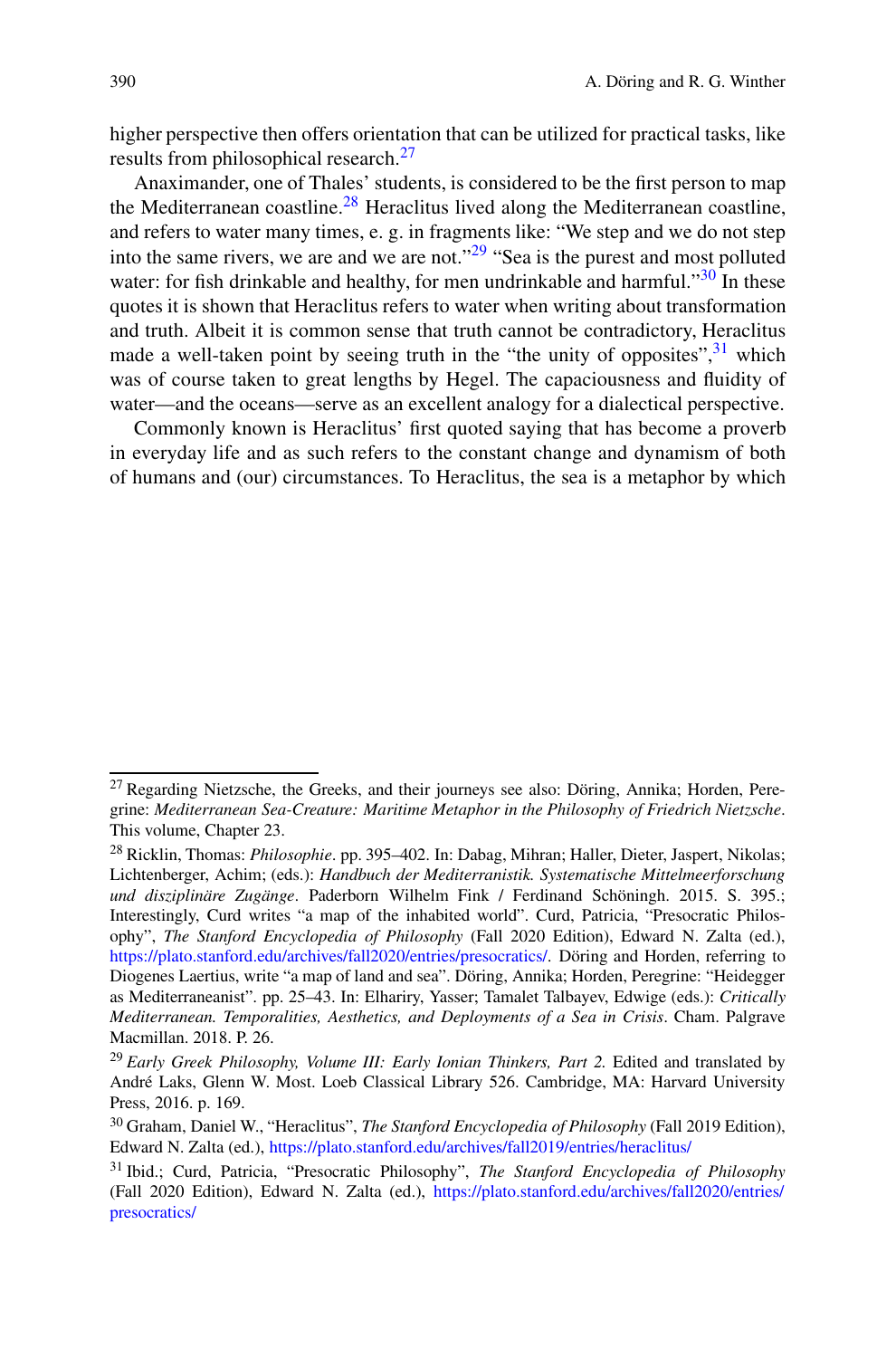<span id="page-7-0"></span>higher perspective then offers orientation that can be utilized for practical tasks, like results from philosophical research.<sup>[27](#page-9-0)</sup>

Anaximander, one of Thales' students, is considered to be the first person to map the Mediterranean coastline.<sup>28</sup> Heraclitus lived along the Mediterranean coastline, and refers to water many times, e. g. in fragments like: "We step and we do not step into the same rivers, we are and we are not."[29](#page-9-0) "Sea is the purest and most polluted water: for fish drinkable and healthy, for men undrinkable and harmful.<sup>[30](#page-9-0)</sup> In these quotes it is shown that Heraclitus refers to water when writing about transformation and truth. Albeit it is common sense that truth cannot be contradictory, Heraclitus made a well-taken point by seeing truth in the "the unity of opposites",  $31$  which was of course taken to great lengths by Hegel. The capaciousness and fluidity of water—and the oceans—serve as an excellent analogy for a dialectical perspective.

Commonly known is Heraclitus' first quoted saying that has become a proverb in everyday life and as such refers to the constant change and dynamism of both of humans and (our) circumstances. To Heraclitus, the sea is a metaphor by which

<sup>&</sup>lt;sup>27</sup> Regarding Nietzsche, the Greeks, and their journeys see also: Döring, Annika; Horden, Peregrine: *Mediterranean Sea-Creature: Maritime Metaphor in the Philosophy of Friedrich Nietzsche*. This volume, Chapter 23.

<sup>28</sup> Ricklin, Thomas: *Philosophie*. pp. 395–402. In: Dabag, Mihran; Haller, Dieter, Jaspert, Nikolas; Lichtenberger, Achim; (eds.): *Handbuch der Mediterranistik. Systematische Mittelmeerforschung und disziplinäre Zugänge*. Paderborn Wilhelm Fink / Ferdinand Schöningh. 2015. S. 395.; Interestingly, Curd writes "a map of the inhabited world". Curd, Patricia, "Presocratic Philosophy", *The Stanford Encyclopedia of Philosophy* (Fall 2020 Edition), Edward N. Zalta (ed.), [https://plato.stanford.edu/archives/fall2020/entries/presocratics/.](https://plato.stanford.edu/archives/fall2020/entries/presocratics/%3e) Döring and Horden, referring to Diogenes Laertius, write "a map of land and sea". Döring, Annika; Horden, Peregrine: "Heidegger as Mediterraneanist". pp. 25–43. In: Elhariry, Yasser; Tamalet Talbayev, Edwige (eds.): *Critically Mediterranean. Temporalities, Aesthetics, and Deployments of a Sea in Crisis*. Cham. Palgrave Macmillan. 2018. P. 26.

<sup>29</sup> *Early Greek Philosophy, Volume III: Early Ionian Thinkers, Part 2.* Edited and translated by André Laks, Glenn W. Most. Loeb Classical Library 526. Cambridge, MA: Harvard University Press, 2016. p. 169.

<sup>30</sup> Graham, Daniel W., "Heraclitus", *The Stanford Encyclopedia of Philosophy* (Fall 2019 Edition), Edward N. Zalta (ed.), [https://plato.stanford.edu/archives/fall2019/entries/heraclitus/](https://plato.stanford.edu/archives/fall2019/entries/heraclitus/%3e)

<sup>31</sup> Ibid.; Curd, Patricia, "Presocratic Philosophy", *The Stanford Encyclopedia of Philosophy* (Fall 2020 Edition), Edward N. Zalta (ed.), [https://plato.stanford.edu/archives/fall2020/entries/](https://plato.stanford.edu/archives/fall2020/entries/presocratics/%3e) presocratics/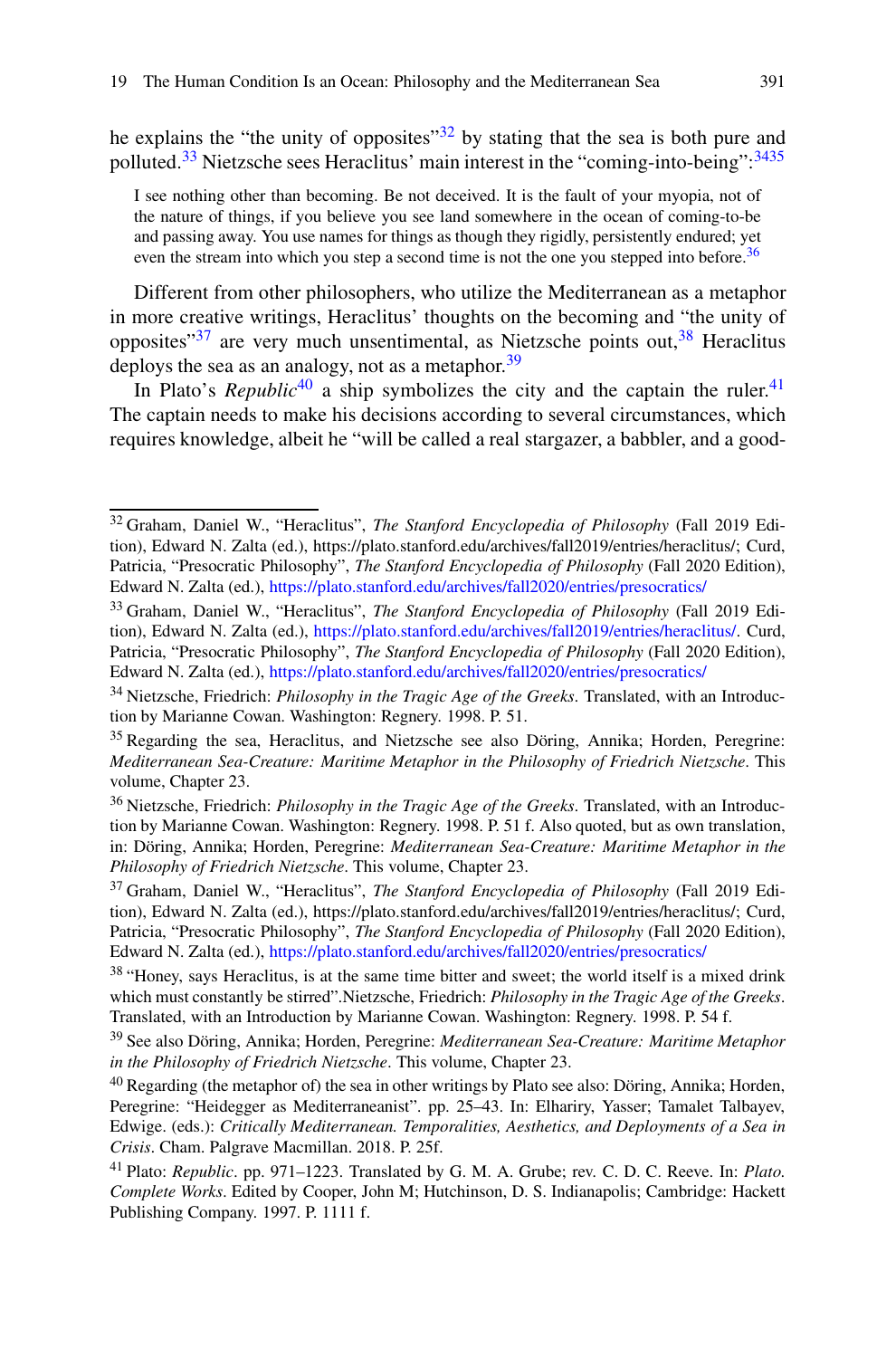<span id="page-8-0"></span>he explains the "the unity of opposites" $32$  by stating that the sea is both pure and polluted.[33](#page-10-0) Nietzsche sees Heraclitus' main interest in the "coming-into-being":[3435](#page-10-0)

I see nothing other than becoming. Be not deceived. It is the fault of your myopia, not of the nature of things, if you believe you see land somewhere in the ocean of coming-to-be and passing away. You use names for things as though they rigidly, persistently endured; yet even the stream into which you step a second time is not the one you stepped into before.<sup>[36](#page-10-0)</sup>

Different from other philosophers, who utilize the Mediterranean as a metaphor in more creative writings, Heraclitus' thoughts on the becoming and "the unity of opposites"<sup>[37](#page-10-0)</sup> are very much unsentimental, as Nietzsche points out, <sup>[38](#page-10-0)</sup> Heraclitus deploys the sea as an analogy, not as a metaphor. $39$ 

In Plato's *Republic*<sup>[40](#page-10-0)</sup> a ship symbolizes the city and the captain the ruler.<sup>[41](#page-10-0)</sup> The captain needs to make his decisions according to several circumstances, which requires knowledge, albeit he "will be called a real stargazer, a babbler, and a good-

<sup>32</sup> Graham, Daniel W., "Heraclitus", *The Stanford Encyclopedia of Philosophy* (Fall 2019 Edition), Edward N. Zalta (ed.), https://plato.stanford.edu/archives/fall2019/entries/heraclitus/; Curd, Patricia, "Presocratic Philosophy", *The Stanford Encyclopedia of Philosophy* (Fall 2020 Edition), Edward N. Zalta (ed.), [https://plato.stanford.edu/archives/fall2020/entries/presocratics/](https://plato.stanford.edu/archives/fall2020/entries/presocratics/%3e)

<sup>33</sup> Graham, Daniel W., "Heraclitus", *The Stanford Encyclopedia of Philosophy* (Fall 2019 Edition), Edward N. Zalta (ed.), [https://plato.stanford.edu/archives/fall2019/entries/heraclitus/.](https://plato.stanford.edu/archives/fall2019/entries/heraclitus/%3e) Curd, Patricia, "Presocratic Philosophy", *The Stanford Encyclopedia of Philosophy* (Fall 2020 Edition), Edward N. Zalta (ed.), [https://plato.stanford.edu/archives/fall2020/entries/presocratics/](https://plato.stanford.edu/archives/fall2020/entries/presocratics/%3e)

<sup>34</sup> Nietzsche, Friedrich: *Philosophy in the Tragic Age of the Greeks*. Translated, with an Introduction by Marianne Cowan. Washington: Regnery. 1998. P. 51.

<sup>35</sup> Regarding the sea, Heraclitus, and Nietzsche see also Döring, Annika; Horden, Peregrine: *Mediterranean Sea-Creature: Maritime Metaphor in the Philosophy of Friedrich Nietzsche*. This volume, Chapter 23.

<sup>36</sup> Nietzsche, Friedrich: *Philosophy in the Tragic Age of the Greeks*. Translated, with an Introduction by Marianne Cowan. Washington: Regnery. 1998. P. 51 f. Also quoted, but as own translation, in: Döring, Annika; Horden, Peregrine: *Mediterranean Sea-Creature: Maritime Metaphor in the Philosophy of Friedrich Nietzsche*. This volume, Chapter 23.

<sup>37</sup> Graham, Daniel W., "Heraclitus", *The Stanford Encyclopedia of Philosophy* (Fall 2019 Edition), Edward N. Zalta (ed.), https://plato.stanford.edu/archives/fall2019/entries/heraclitus/; Curd, Patricia, "Presocratic Philosophy", *The Stanford Encyclopedia of Philosophy* (Fall 2020 Edition), Edward N. Zalta (ed.), [https://plato.stanford.edu/archives/fall2020/entries/presocratics/](https://plato.stanford.edu/archives/fall2020/entries/presocratics/%3e)

<sup>&</sup>lt;sup>38</sup> "Honey, says Heraclitus, is at the same time bitter and sweet; the world itself is a mixed drink which must constantly be stirred".Nietzsche, Friedrich: *Philosophy in the Tragic Age of the Greeks*. Translated, with an Introduction by Marianne Cowan. Washington: Regnery. 1998. P. 54 f.

<sup>39</sup> See also Döring, Annika; Horden, Peregrine: *Mediterranean Sea-Creature: Maritime Metaphor in the Philosophy of Friedrich Nietzsche*. This volume, Chapter 23.

<sup>&</sup>lt;sup>40</sup> Regarding (the metaphor of) the sea in other writings by Plato see also: Döring, Annika; Horden, Peregrine: "Heidegger as Mediterraneanist". pp. 25–43. In: Elhariry, Yasser; Tamalet Talbayev, Edwige. (eds.): *Critically Mediterranean. Temporalities, Aesthetics, and Deployments of a Sea in Crisis*. Cham. Palgrave Macmillan. 2018. P. 25f.

<sup>41</sup> Plato: *Republic*. pp. 971–1223. Translated by G. M. A. Grube; rev. C. D. C. Reeve. In: *Plato. Complete Works*. Edited by Cooper, John M; Hutchinson, D. S. Indianapolis; Cambridge: Hackett Publishing Company. 1997. P. 1111 f.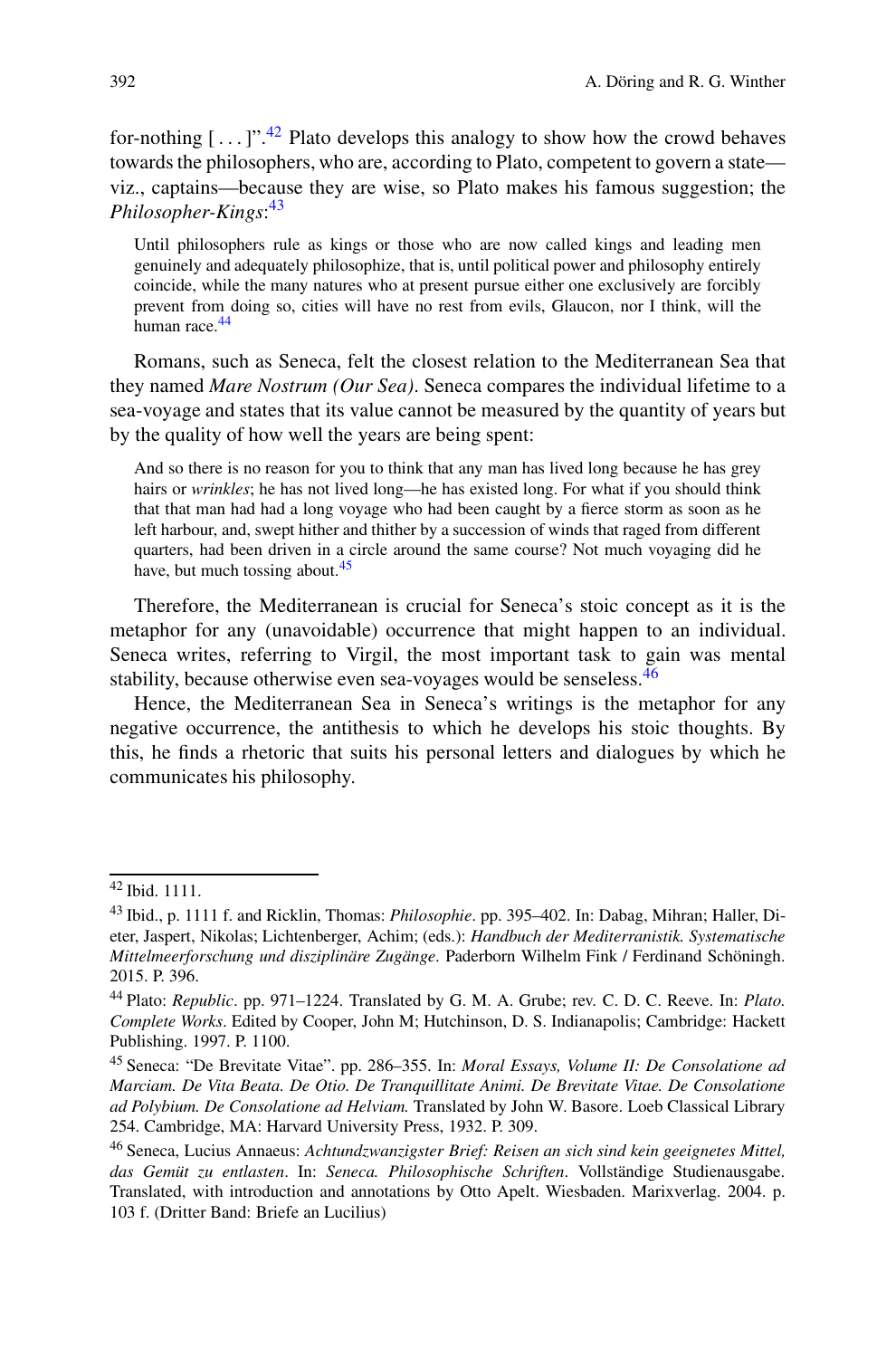<span id="page-9-0"></span>for-nothing  $[\dots]$ <sup>[42](#page-11-0)</sup> Plato develops this analogy to show how the crowd behaves towards the philosophers, who are, according to Plato, competent to govern a state viz., captains—because they are wise, so Plato makes his famous suggestion; the *Philosopher-Kings*: [43](#page-11-0)

Until philosophers rule as kings or those who are now called kings and leading men genuinely and adequately philosophize, that is, until political power and philosophy entirely coincide, while the many natures who at present pursue either one exclusively are forcibly prevent from doing so, cities will have no rest from evils, Glaucon, nor I think, will the human race.<sup>[44](#page-11-0)</sup>

Romans, such as Seneca, felt the closest relation to the Mediterranean Sea that they named *Mare Nostrum (Our Sea)*. Seneca compares the individual lifetime to a sea-voyage and states that its value cannot be measured by the quantity of years but by the quality of how well the years are being spent:

And so there is no reason for you to think that any man has lived long because he has grey hairs or *wrinkles*; he has not lived long—he has existed long. For what if you should think that that man had had a long voyage who had been caught by a fierce storm as soon as he left harbour, and, swept hither and thither by a succession of winds that raged from different quarters, had been driven in a circle around the same course? Not much voyaging did he have, but much tossing about.<sup>[45](#page-11-0)</sup>

Therefore, the Mediterranean is crucial for Seneca's stoic concept as it is the metaphor for any (unavoidable) occurrence that might happen to an individual. Seneca writes, referring to Virgil, the most important task to gain was mental stability, because otherwise even sea-voyages would be senseless.<sup>[46](#page-11-0)</sup>

Hence, the Mediterranean Sea in Seneca's writings is the metaphor for any negative occurrence, the antithesis to which he develops his stoic thoughts. By this, he finds a rhetoric that suits his personal letters and dialogues by which he communicates his philosophy.

<sup>42</sup> Ibid. 1111.

<sup>43</sup> Ibid., p. 1111 f. and Ricklin, Thomas: *Philosophie*. pp. 395–402. In: Dabag, Mihran; Haller, Dieter, Jaspert, Nikolas; Lichtenberger, Achim; (eds.): *Handbuch der Mediterranistik. Systematische Mittelmeerforschung und disziplinäre Zugänge*. Paderborn Wilhelm Fink / Ferdinand Schöningh. 2015. P. 396.

<sup>44</sup> Plato: *Republic*. pp. 971–1224. Translated by G. M. A. Grube; rev. C. D. C. Reeve. In: *Plato. Complete Works*. Edited by Cooper, John M; Hutchinson, D. S. Indianapolis; Cambridge: Hackett Publishing. 1997. P. 1100.

<sup>45</sup> Seneca: "De Brevitate Vitae". pp. 286–355. In: *Moral Essays, Volume II: De Consolatione ad Marciam. De Vita Beata. De Otio. De Tranquillitate Animi. De Brevitate Vitae. De Consolatione ad Polybium. De Consolatione ad Helviam.* Translated by John W. Basore. Loeb Classical Library 254. Cambridge, MA: Harvard University Press, 1932. P. 309.

<sup>46</sup> Seneca, Lucius Annaeus: *Achtundzwanzigster Brief: Reisen an sich sind kein geeignetes Mittel, das Gemüt zu entlasten*. In: *Seneca. Philosophische Schriften*. Vollständige Studienausgabe. Translated, with introduction and annotations by Otto Apelt. Wiesbaden. Marixverlag. 2004. p. 103 f. (Dritter Band: Briefe an Lucilius)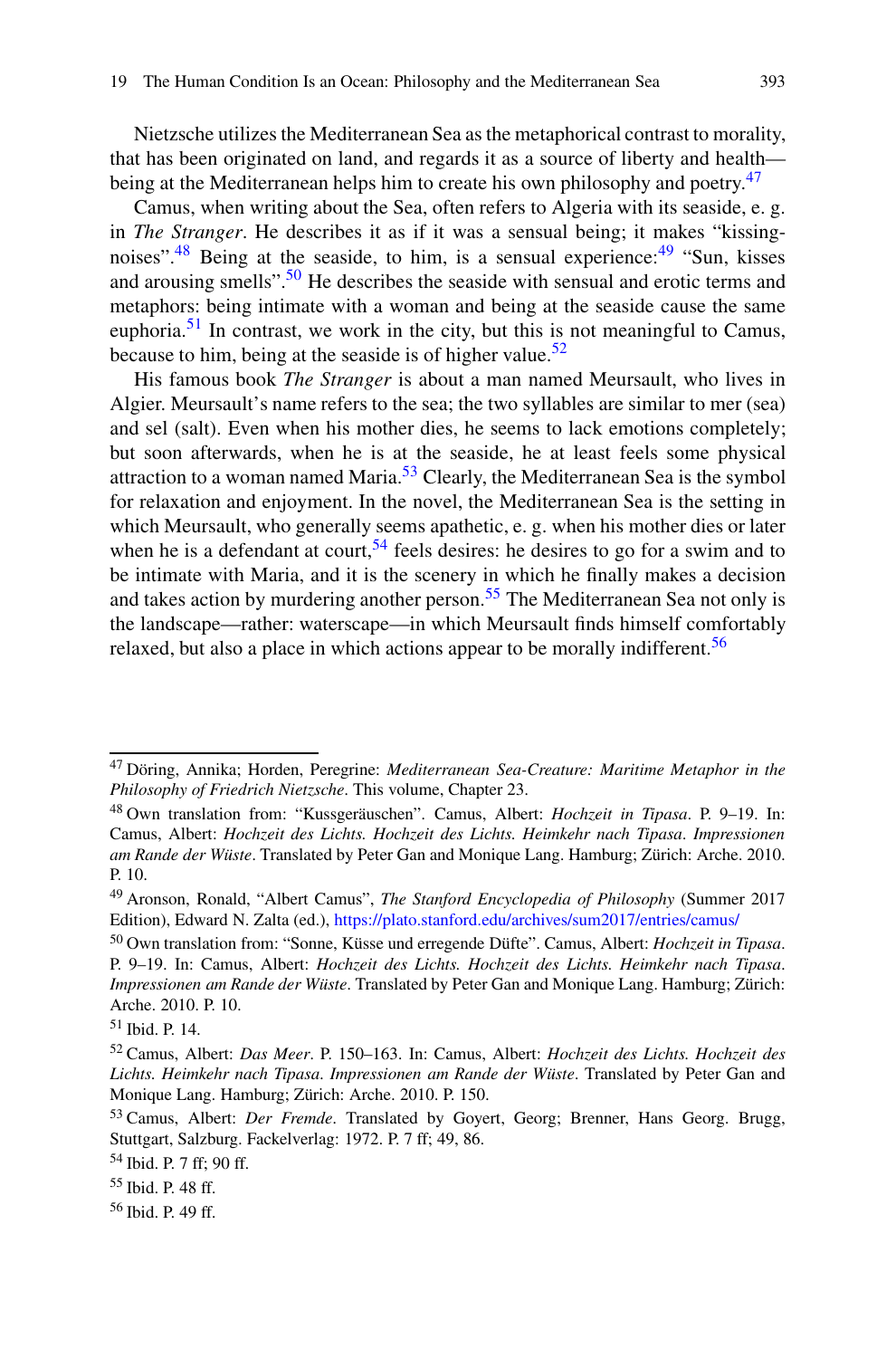<span id="page-10-0"></span>Nietzsche utilizes the Mediterranean Sea as the metaphorical contrast to morality, that has been originated on land, and regards it as a source of liberty and health— being at the Mediterranean helps him to create his own philosophy and poetry.<sup>[47](#page-12-0)</sup>

Camus, when writing about the Sea, often refers to Algeria with its seaside, e. g. in *The Stranger*. He describes it as if it was a sensual being; it makes "kissingnoises".  $48$  Being at the seaside, to him, is a sensual experience:  $49$  "Sun, kisses" and arousing smells".  $50$  He describes the seaside with sensual and erotic terms and metaphors: being intimate with a woman and being at the seaside cause the same euphoria.<sup>[51](#page-12-0)</sup> In contrast, we work in the city, but this is not meaningful to Camus, because to him, being at the seaside is of higher value.<sup>[52](#page-12-0)</sup>

His famous book *The Stranger* is about a man named Meursault, who lives in Algier. Meursault's name refers to the sea; the two syllables are similar to mer (sea) and sel (salt). Even when his mother dies, he seems to lack emotions completely; but soon afterwards, when he is at the seaside, he at least feels some physical attraction to a woman named Maria.<sup>[53](#page-12-0)</sup> Clearly, the Mediterranean Sea is the symbol for relaxation and enjoyment. In the novel, the Mediterranean Sea is the setting in which Meursault, who generally seems apathetic, e. g. when his mother dies or later when he is a defendant at court,  $54$  feels desires: he desires to go for a swim and to be intimate with Maria, and it is the scenery in which he finally makes a decision and takes action by murdering another person.<sup>55</sup> The Mediterranean Sea not only is the landscape—rather: waterscape—in which Meursault finds himself comfortably relaxed, but also a place in which actions appear to be morally indifferent.<sup>[56](#page-12-0)</sup>

<sup>47</sup> Döring, Annika; Horden, Peregrine: *Mediterranean Sea-Creature: Maritime Metaphor in the Philosophy of Friedrich Nietzsche*. This volume, Chapter 23.

<sup>48</sup> Own translation from: "Kussgeräuschen". Camus, Albert: *Hochzeit in Tipasa*. P. 9–19. In: Camus, Albert: *Hochzeit des Lichts. Hochzeit des Lichts. Heimkehr nach Tipasa*. *Impressionen am Rande der Wüste*. Translated by Peter Gan and Monique Lang. Hamburg; Zürich: Arche. 2010. P. 10.

<sup>49</sup> Aronson, Ronald, "Albert Camus", *The Stanford Encyclopedia of Philosophy* (Summer 2017 Edition), Edward N. Zalta (ed.), [https://plato.stanford.edu/archives/sum2017/entries/camus/](https://plato.stanford.edu/archives/sum2017/entries/camus/%3e)

<sup>50</sup> Own translation from: "Sonne, Küsse und erregende Düfte". Camus, Albert: *Hochzeit in Tipasa*. P. 9–19. In: Camus, Albert: *Hochzeit des Lichts. Hochzeit des Lichts. Heimkehr nach Tipasa*. *Impressionen am Rande der Wüste*. Translated by Peter Gan and Monique Lang. Hamburg; Zürich: Arche. 2010. P. 10.

<sup>51</sup> Ibid. P. 14.

<sup>52</sup> Camus, Albert: *Das Meer*. P. 150–163. In: Camus, Albert: *Hochzeit des Lichts. Hochzeit des Lichts. Heimkehr nach Tipasa*. *Impressionen am Rande der Wüste*. Translated by Peter Gan and Monique Lang. Hamburg; Zürich: Arche. 2010. P. 150.

<sup>53</sup> Camus, Albert: *Der Fremde*. Translated by Goyert, Georg; Brenner, Hans Georg. Brugg, Stuttgart, Salzburg. Fackelverlag: 1972. P. 7 ff; 49, 86.

<sup>54</sup> Ibid. P. 7 ff; 90 ff.

 $55$  Ibid. P. 48 ff.

<sup>56</sup> Ibid. P. 49 ff.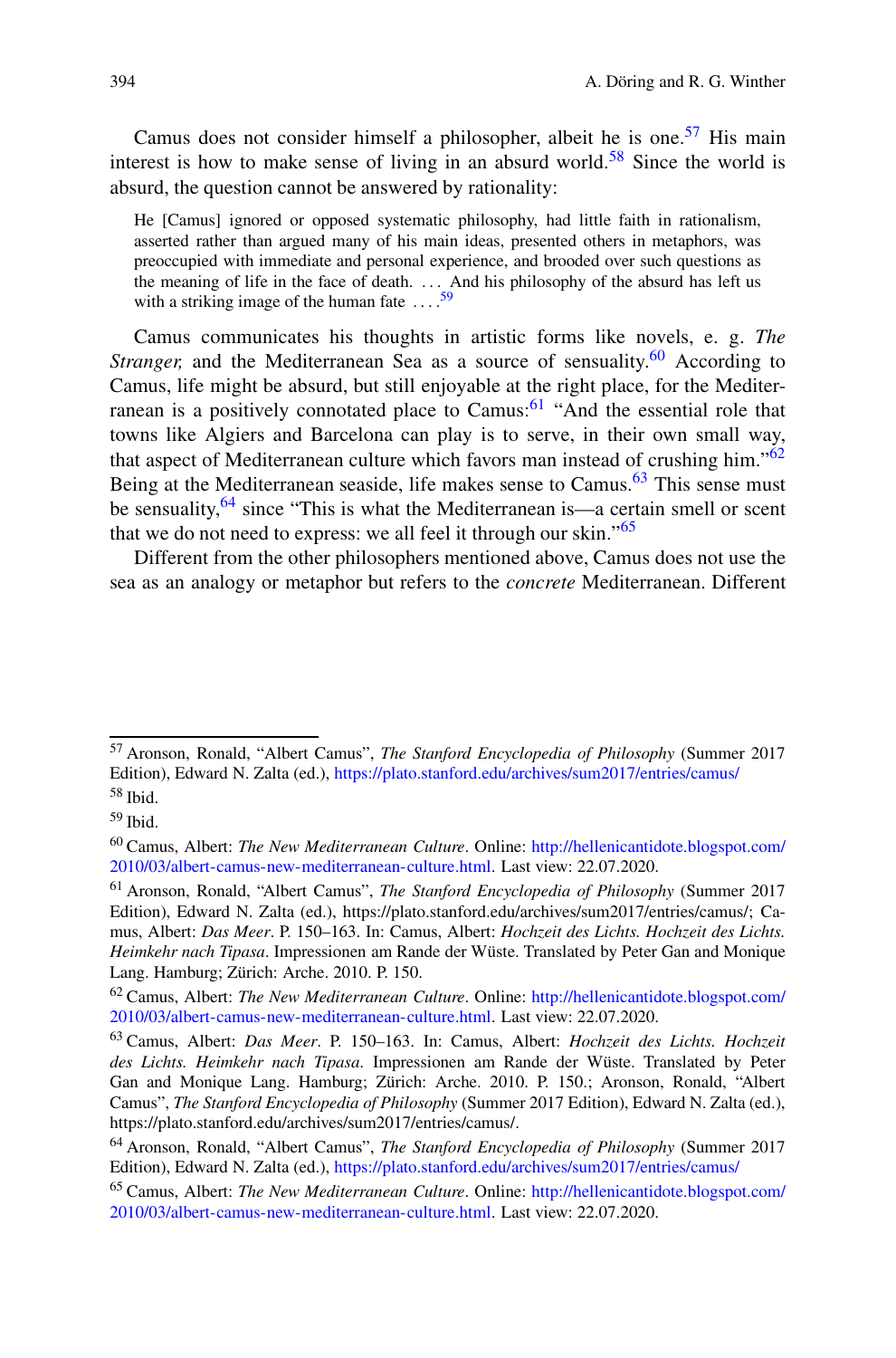<span id="page-11-0"></span>Camus does not consider himself a philosopher, albeit he is one.<sup>[57](#page-13-0)</sup> His main interest is how to make sense of living in an absurd world.<sup>[58](#page-13-0)</sup> Since the world is absurd, the question cannot be answered by rationality:

He [Camus] ignored or opposed systematic philosophy, had little faith in rationalism, asserted rather than argued many of his main ideas, presented others in metaphors, was preoccupied with immediate and personal experience, and brooded over such questions as the meaning of life in the face of death. ... And his philosophy of the absurd has left us with a striking image of the human fate ....<sup>[59](#page-13-0)</sup>

Camus communicates his thoughts in artistic forms like novels, e. g. *The Stranger*, and the Mediterranean Sea as a source of sensuality.<sup>60</sup> According to Camus, life might be absurd, but still enjoyable at the right place, for the Mediterranean is a positively connotated place to Camus: $61$  "And the essential role that towns like Algiers and Barcelona can play is to serve, in their own small way, that aspect of Mediterranean culture which favors man instead of crushing him.["62](#page-13-0) Being at the Mediterranean seaside, life makes sense to Camus.<sup>63</sup> This sense must be sensuality, $64$  since "This is what the Mediterranean is—a certain smell or scent that we do not need to express: we all feel it through our skin."<sup>[65](#page-13-0)</sup>

Different from the other philosophers mentioned above, Camus does not use the sea as an analogy or metaphor but refers to the *concrete* Mediterranean. Different

<sup>57</sup> Aronson, Ronald, "Albert Camus", *The Stanford Encyclopedia of Philosophy* (Summer 2017 Edition), Edward N. Zalta (ed.), [https://plato.stanford.edu/archives/sum2017/entries/camus/](https://plato.stanford.edu/archives/sum2017/entries/camus/%3e) <sup>58</sup> Ibid.

<sup>59</sup> Ibid.

<sup>60</sup> Camus, Albert: *The New Mediterranean Culture*. Online: [http://hellenicantidote.blogspot.com/](http://hellenicantidote.blogspot.com/2010/03/albert-camus-new-mediterranean-culture.html) [2010/03/albert-camus-new-mediterranean-culture.html.](http://hellenicantidote.blogspot.com/2010/03/albert-camus-new-mediterranean-culture.html) Last view: 22.07.2020.

<sup>61</sup> Aronson, Ronald, "Albert Camus", *The Stanford Encyclopedia of Philosophy* (Summer 2017 Edition), Edward N. Zalta (ed.), https://plato.stanford.edu/archives/sum2017/entries/camus/; Camus, Albert: *Das Meer*. P. 150–163. In: Camus, Albert: *Hochzeit des Lichts. Hochzeit des Lichts. Heimkehr nach Tipasa*. Impressionen am Rande der Wüste. Translated by Peter Gan and Monique Lang. Hamburg; Zürich: Arche. 2010. P. 150.

<sup>62</sup> Camus, Albert: *The New Mediterranean Culture*. Online: [http://hellenicantidote.blogspot.com/](http://hellenicantidote.blogspot.com/2010/03/albert-camus-new-mediterranean-culture.html) [2010/03/albert-camus-new-mediterranean-culture.html.](http://hellenicantidote.blogspot.com/2010/03/albert-camus-new-mediterranean-culture.html) Last view: 22.07.2020.

<sup>63</sup> Camus, Albert: *Das Meer*. P. 150–163. In: Camus, Albert: *Hochzeit des Lichts. Hochzeit des Lichts. Heimkehr nach Tipasa*. Impressionen am Rande der Wüste. Translated by Peter Gan and Monique Lang. Hamburg; Zürich: Arche. 2010. P. 150.; Aronson, Ronald, "Albert Camus", *The Stanford Encyclopedia of Philosophy* (Summer 2017 Edition), Edward N. Zalta (ed.), https://plato.stanford.edu/archives/sum2017/entries/camus/.

<sup>64</sup> Aronson, Ronald, "Albert Camus", *The Stanford Encyclopedia of Philosophy* (Summer 2017 Edition), Edward N. Zalta (ed.), [https://plato.stanford.edu/archives/sum2017/entries/camus/](https://plato.stanford.edu/archives/sum2017/entries/camus/%3e)

<sup>65</sup> Camus, Albert: *The New Mediterranean Culture*. Online: [http://hellenicantidote.blogspot.com/](http://hellenicantidote.blogspot.com/2010/03/albert-camus-new-mediterranean-culture.html) [2010/03/albert-camus-new-mediterranean-culture.html.](http://hellenicantidote.blogspot.com/2010/03/albert-camus-new-mediterranean-culture.html) Last view: 22.07.2020.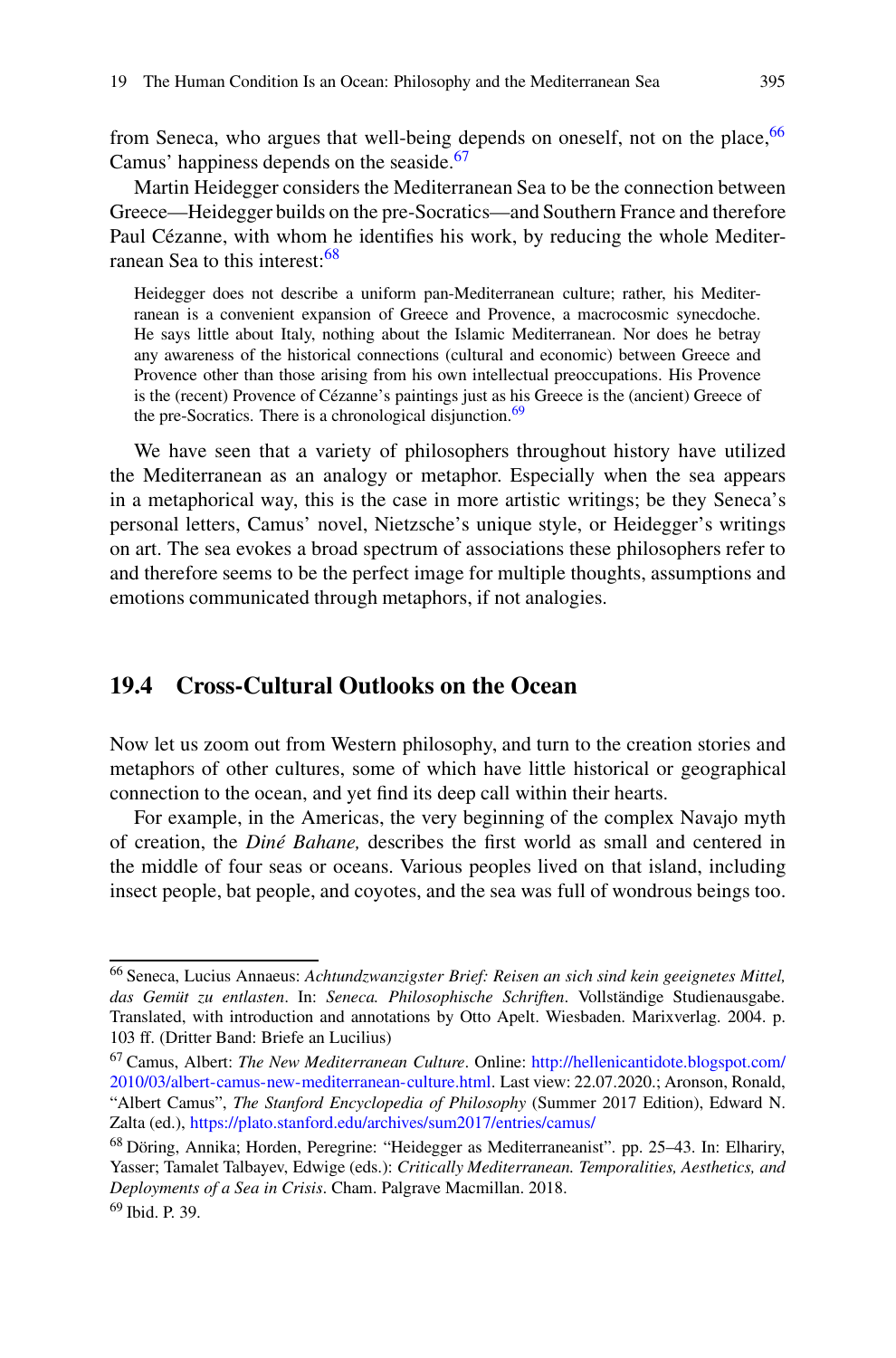<span id="page-12-0"></span>from Seneca, who argues that well-being depends on oneself, not on the place,  $66$ Camus' happiness depends on the seaside.<sup>[67](#page-14-0)</sup>

Martin Heidegger considers the Mediterranean Sea to be the connection between Greece—Heidegger builds on the pre-Socratics—and Southern France and therefore Paul Cézanne, with whom he identifies his work, by reducing the whole Mediterranean Sea to this interest:[68](#page-14-0)

Heidegger does not describe a uniform pan-Mediterranean culture; rather, his Mediterranean is a convenient expansion of Greece and Provence, a macrocosmic synecdoche. He says little about Italy, nothing about the Islamic Mediterranean. Nor does he betray any awareness of the historical connections (cultural and economic) between Greece and Provence other than those arising from his own intellectual preoccupations. His Provence is the (recent) Provence of Cézanne's paintings just as his Greece is the (ancient) Greece of the pre-Socratics. There is a chronological disjunction.<sup>[69](#page-14-0)</sup>

We have seen that a variety of philosophers throughout history have utilized the Mediterranean as an analogy or metaphor. Especially when the sea appears in a metaphorical way, this is the case in more artistic writings; be they Seneca's personal letters, Camus' novel, Nietzsche's unique style, or Heidegger's writings on art. The sea evokes a broad spectrum of associations these philosophers refer to and therefore seems to be the perfect image for multiple thoughts, assumptions and emotions communicated through metaphors, if not analogies.

## **19.4 Cross-Cultural Outlooks on the Ocean**

Now let us zoom out from Western philosophy, and turn to the creation stories and metaphors of other cultures, some of which have little historical or geographical connection to the ocean, and yet find its deep call within their hearts.

For example, in the Americas, the very beginning of the complex Navajo myth of creation, the *Diné Bahane,* describes the first world as small and centered in the middle of four seas or oceans. Various peoples lived on that island, including insect people, bat people, and coyotes, and the sea was full of wondrous beings too.

<sup>66</sup> Seneca, Lucius Annaeus: *Achtundzwanzigster Brief: Reisen an sich sind kein geeignetes Mittel, das Gemüt zu entlasten*. In: *Seneca. Philosophische Schriften*. Vollständige Studienausgabe. Translated, with introduction and annotations by Otto Apelt. Wiesbaden. Marixverlag. 2004. p. 103 ff. (Dritter Band: Briefe an Lucilius)

<sup>67</sup> Camus, Albert: *The New Mediterranean Culture*. Online: [http://hellenicantidote.blogspot.com/](http://hellenicantidote.blogspot.com/2010/03/albert-camus-new-mediterranean-culture.html) [2010/03/albert-camus-new-mediterranean-culture.html.](http://hellenicantidote.blogspot.com/2010/03/albert-camus-new-mediterranean-culture.html) Last view: 22.07.2020.; Aronson, Ronald, "Albert Camus", *The Stanford Encyclopedia of Philosophy* (Summer 2017 Edition), Edward N. Zalta (ed.), [https://plato.stanford.edu/archives/sum2017/entries/camus/](https://plato.stanford.edu/archives/sum2017/entries/camus/%3e)

<sup>68</sup> Döring, Annika; Horden, Peregrine: "Heidegger as Mediterraneanist". pp. 25–43. In: Elhariry, Yasser; Tamalet Talbayev, Edwige (eds.): *Critically Mediterranean. Temporalities, Aesthetics, and Deployments of a Sea in Crisis*. Cham. Palgrave Macmillan. 2018. <sup>69</sup> Ibid. P. 39.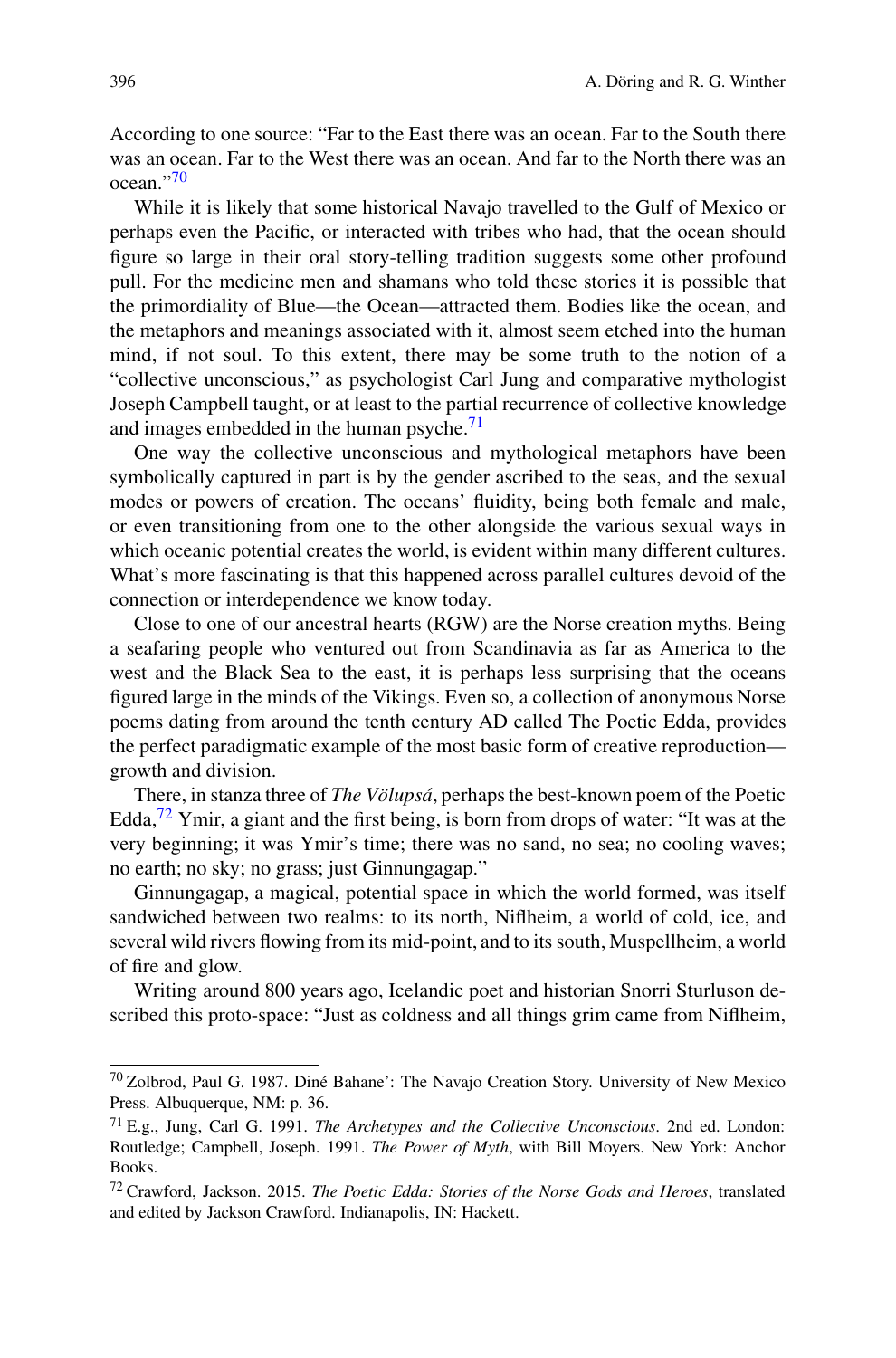<span id="page-13-0"></span>According to one source: "Far to the East there was an ocean. Far to the South there was an ocean. Far to the West there was an ocean. And far to the North there was an ocean."[70](#page-15-0)

While it is likely that some historical Navajo travelled to the Gulf of Mexico or perhaps even the Pacific, or interacted with tribes who had, that the ocean should figure so large in their oral story-telling tradition suggests some other profound pull. For the medicine men and shamans who told these stories it is possible that the primordiality of Blue—the Ocean—attracted them. Bodies like the ocean, and the metaphors and meanings associated with it, almost seem etched into the human mind, if not soul. To this extent, there may be some truth to the notion of a "collective unconscious," as psychologist Carl Jung and comparative mythologist Joseph Campbell taught, or at least to the partial recurrence of collective knowledge and images embedded in the human psyche. $71$ 

One way the collective unconscious and mythological metaphors have been symbolically captured in part is by the gender ascribed to the seas, and the sexual modes or powers of creation. The oceans' fluidity, being both female and male, or even transitioning from one to the other alongside the various sexual ways in which oceanic potential creates the world, is evident within many different cultures. What's more fascinating is that this happened across parallel cultures devoid of the connection or interdependence we know today.

Close to one of our ancestral hearts (RGW) are the Norse creation myths. Being a seafaring people who ventured out from Scandinavia as far as America to the west and the Black Sea to the east, it is perhaps less surprising that the oceans figured large in the minds of the Vikings. Even so, a collection of anonymous Norse poems dating from around the tenth century AD called The Poetic Edda, provides the perfect paradigmatic example of the most basic form of creative reproduction growth and division.

There, in stanza three of *The Völupsá*, perhaps the best-known poem of the Poetic Edda, $^{72}$  $^{72}$  $^{72}$  Ymir, a giant and the first being, is born from drops of water: "It was at the very beginning; it was Ymir's time; there was no sand, no sea; no cooling waves; no earth; no sky; no grass; just Ginnungagap."

Ginnungagap, a magical, potential space in which the world formed, was itself sandwiched between two realms: to its north, Niflheim, a world of cold, ice, and several wild rivers flowing from its mid-point, and to its south, Muspellheim, a world of fire and glow.

Writing around 800 years ago, Icelandic poet and historian Snorri Sturluson described this proto-space: "Just as coldness and all things grim came from Niflheim,

<sup>70</sup> Zolbrod, Paul G. 1987. Diné Bahane': The Navajo Creation Story. University of New Mexico Press. Albuquerque, NM: p. 36.

<sup>71</sup> E.g., Jung, Carl G. 1991. *The Archetypes and the Collective Unconscious*. 2nd ed. London: Routledge; Campbell, Joseph. 1991. *The Power of Myth*, with Bill Moyers. New York: Anchor Books.

<sup>72</sup> Crawford, Jackson. 2015. *The Poetic Edda: Stories of the Norse Gods and Heroes*, translated and edited by Jackson Crawford. Indianapolis, IN: Hackett.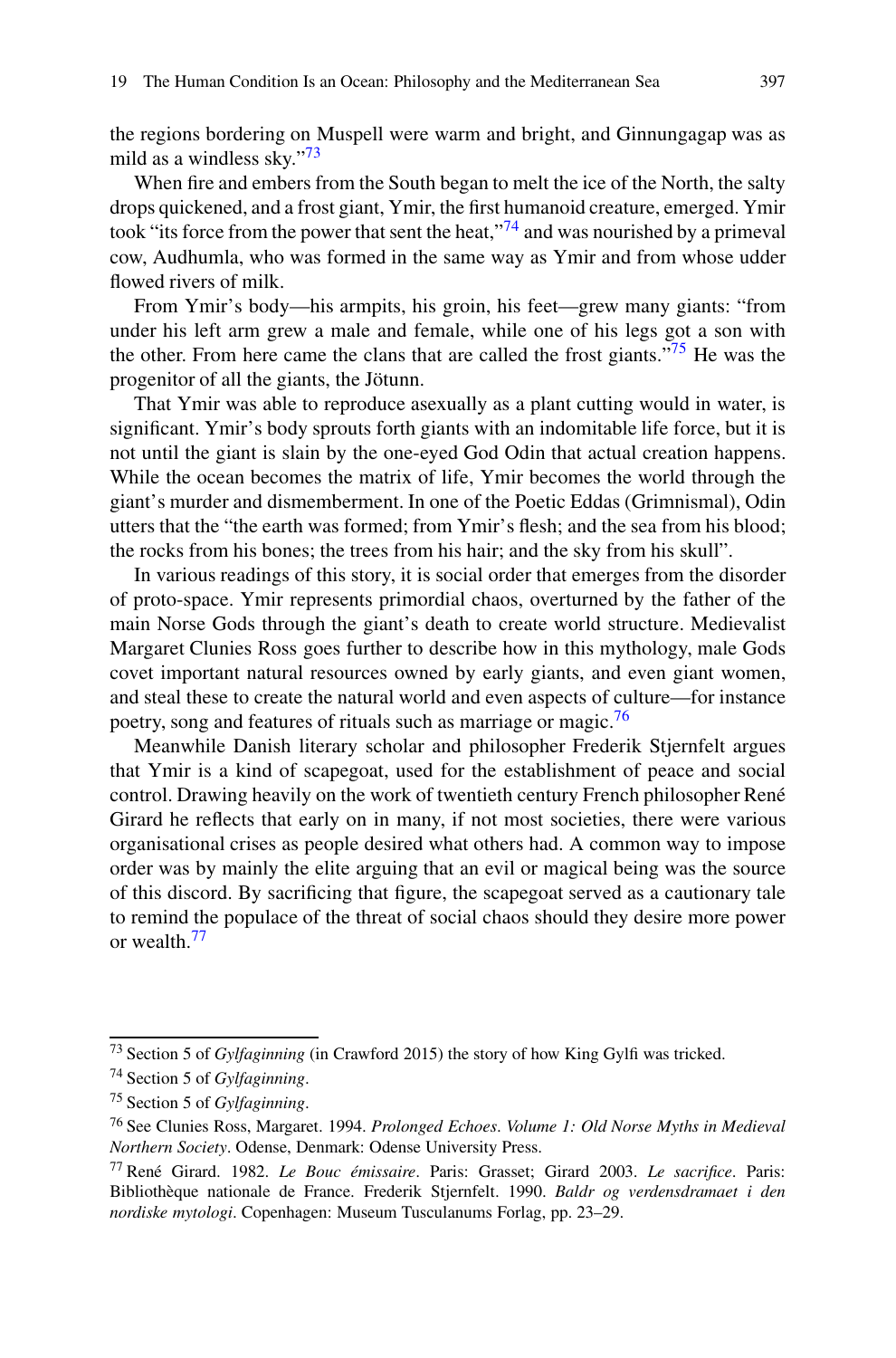<span id="page-14-0"></span>the regions bordering on Muspell were warm and bright, and Ginnungagap was as mild as a windless sky." $73$ 

When fire and embers from the South began to melt the ice of the North, the salty drops quickened, and a frost giant, Ymir, the first humanoid creature, emerged. Ymir took "its force from the power that sent the heat."<sup>[74](#page-16-0)</sup> and was nourished by a primeval cow, Audhumla, who was formed in the same way as Ymir and from whose udder flowed rivers of milk.

From Ymir's body—his armpits, his groin, his feet—grew many giants: "from under his left arm grew a male and female, while one of his legs got a son with the other. From here came the clans that are called the frost giants."<sup>75</sup> He was the progenitor of all the giants, the Jötunn.

That Ymir was able to reproduce asexually as a plant cutting would in water, is significant. Ymir's body sprouts forth giants with an indomitable life force, but it is not until the giant is slain by the one-eyed God Odin that actual creation happens. While the ocean becomes the matrix of life, Ymir becomes the world through the giant's murder and dismemberment. In one of the Poetic Eddas (Grimnismal), Odin utters that the "the earth was formed; from Ymir's flesh; and the sea from his blood; the rocks from his bones; the trees from his hair; and the sky from his skull".

In various readings of this story, it is social order that emerges from the disorder of proto-space. Ymir represents primordial chaos, overturned by the father of the main Norse Gods through the giant's death to create world structure. Medievalist Margaret Clunies Ross goes further to describe how in this mythology, male Gods covet important natural resources owned by early giants, and even giant women, and steal these to create the natural world and even aspects of culture—for instance poetry, song and features of rituals such as marriage or magic.<sup>76</sup>

Meanwhile Danish literary scholar and philosopher Frederik Stjernfelt argues that Ymir is a kind of scapegoat, used for the establishment of peace and social control. Drawing heavily on the work of twentieth century French philosopher René Girard he reflects that early on in many, if not most societies, there were various organisational crises as people desired what others had. A common way to impose order was by mainly the elite arguing that an evil or magical being was the source of this discord. By sacrificing that figure, the scapegoat served as a cautionary tale to remind the populace of the threat of social chaos should they desire more power or wealth.[77](#page-16-0)

<sup>73</sup> Section 5 of *Gylfaginning* (in Crawford 2015) the story of how King Gylfi was tricked.

<sup>74</sup> Section 5 of *Gylfaginning*.

<sup>75</sup> Section 5 of *Gylfaginning*.

<sup>76</sup> See Clunies Ross, Margaret. 1994. *Prolonged Echoes*. *Volume 1: Old Norse Myths in Medieval Northern Society*. Odense, Denmark: Odense University Press.

<sup>77</sup> René Girard. 1982. *Le Bouc émissaire*. Paris: Grasset; Girard 2003. *Le sacrifice*. Paris: Bibliothèque nationale de France. Frederik Stjernfelt. 1990. *Baldr og verdensdramaet i den nordiske mytologi*. Copenhagen: Museum Tusculanums Forlag, pp. 23–29.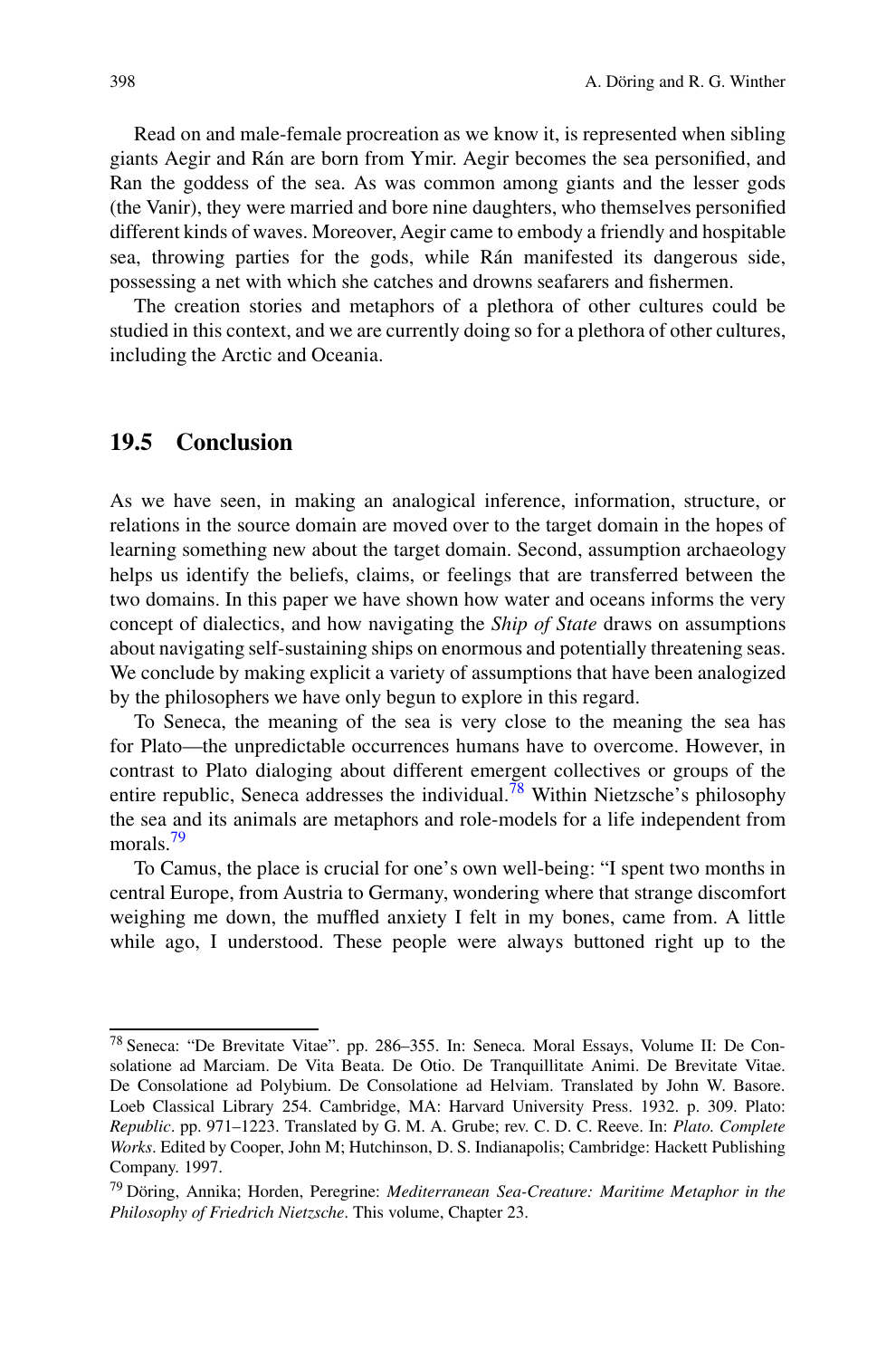<span id="page-15-0"></span>Read on and male-female procreation as we know it, is represented when sibling giants Aegir and Rán are born from Ymir. Aegir becomes the sea personified, and Ran the goddess of the sea. As was common among giants and the lesser gods (the Vanir), they were married and bore nine daughters, who themselves personified different kinds of waves. Moreover, Aegir came to embody a friendly and hospitable sea, throwing parties for the gods, while Rán manifested its dangerous side, possessing a net with which she catches and drowns seafarers and fishermen.

The creation stories and metaphors of a plethora of other cultures could be studied in this context, and we are currently doing so for a plethora of other cultures, including the Arctic and Oceania.

#### **19.5 Conclusion**

As we have seen, in making an analogical inference, information, structure, or relations in the source domain are moved over to the target domain in the hopes of learning something new about the target domain. Second, assumption archaeology helps us identify the beliefs, claims, or feelings that are transferred between the two domains. In this paper we have shown how water and oceans informs the very concept of dialectics, and how navigating the *Ship of State* draws on assumptions about navigating self-sustaining ships on enormous and potentially threatening seas. We conclude by making explicit a variety of assumptions that have been analogized by the philosophers we have only begun to explore in this regard.

To Seneca, the meaning of the sea is very close to the meaning the sea has for Plato—the unpredictable occurrences humans have to overcome. However, in contrast to Plato dialoging about different emergent collectives or groups of the entire republic, Seneca addresses the individual.<sup>78</sup> Within Nietzsche's philosophy the sea and its animals are metaphors and role-models for a life independent from moral<sub>s.</sub><sup>79</sup>

To Camus, the place is crucial for one's own well-being: "I spent two months in central Europe, from Austria to Germany, wondering where that strange discomfort weighing me down, the muffled anxiety I felt in my bones, came from. A little while ago, I understood. These people were always buttoned right up to the

<sup>78</sup> Seneca: "De Brevitate Vitae". pp. 286–355. In: Seneca. Moral Essays, Volume II: De Consolatione ad Marciam. De Vita Beata. De Otio. De Tranquillitate Animi. De Brevitate Vitae. De Consolatione ad Polybium. De Consolatione ad Helviam. Translated by John W. Basore. Loeb Classical Library 254. Cambridge, MA: Harvard University Press. 1932. p. 309. Plato: *Republic*. pp. 971–1223. Translated by G. M. A. Grube; rev. C. D. C. Reeve. In: *Plato. Complete Works*. Edited by Cooper, John M; Hutchinson, D. S. Indianapolis; Cambridge: Hackett Publishing Company. 1997.

<sup>79</sup> Döring, Annika; Horden, Peregrine: *Mediterranean Sea-Creature: Maritime Metaphor in the Philosophy of Friedrich Nietzsche*. This volume, Chapter 23.